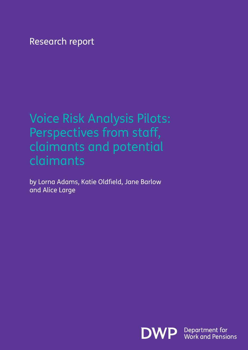Research report

## Voice Risk Analysis Pilots: Perspectives from staff, claimants and potential claimants

by Lorna Adams, Katie Oldfield, Jane Barlow and Alice Large

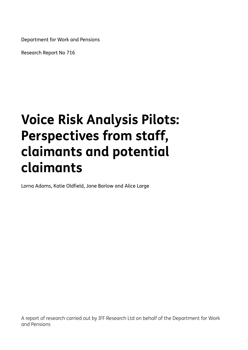Department for Work and Pensions

Research Report No 716

# **Voice Risk Analysis Pilots: Perspectives from staff, claimants and potential claimants**

Lorna Adams, Katie Oldfield, Jane Barlow and Alice Large

A report of research carried out by IFF Research Ltd on behalf of the Department for Work and Pensions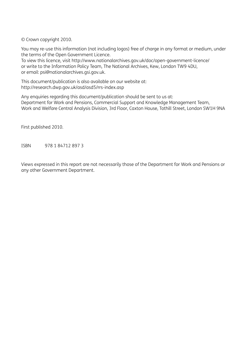© Crown copyright 2010.

You may re-use this information (not including logos) free of charge in any format or medium, under the terms of the Open Government Licence.

To view this licence, visit http://www.nationalarchives.gov.uk/doc/open-government-licence/ or write to the Information Policy Team, The National Archives, Kew, London TW9 4DU, or email: psi@nationalarchives.gsi.gov.uk.

This document/publication is also available on our website at: http://research.dwp.gov.uk/asd/asd5/rrs-index.asp

Any enquiries regarding this document/publication should be sent to us at: Department for Work and Pensions, Commercial Support and Knowledge Management Team, Work and Welfare Central Analysis Division, 3rd Floor, Caxton House, Tothill Street, London SW1H 9NA

First published 2010.

ISBN 978 1 84712 897 3

Views expressed in this report are not necessarily those of the Department for Work and Pensions or any other Government Department.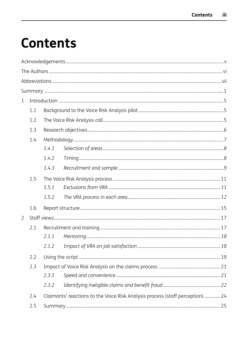# **Contents**

| $\mathbf{1}$   |     |       |                                                                                |  |
|----------------|-----|-------|--------------------------------------------------------------------------------|--|
|                | 1.1 |       |                                                                                |  |
|                | 1.2 |       |                                                                                |  |
|                | 1.3 |       |                                                                                |  |
|                | 1.4 |       |                                                                                |  |
|                |     | 1.4.1 |                                                                                |  |
|                |     | 1.4.2 |                                                                                |  |
|                |     | 1.4.3 |                                                                                |  |
|                | 1.5 |       |                                                                                |  |
|                |     | 1.5.1 |                                                                                |  |
|                |     | 1.5.2 |                                                                                |  |
|                | 1.6 |       |                                                                                |  |
| $\overline{2}$ |     |       |                                                                                |  |
|                | 2.1 |       |                                                                                |  |
|                |     | 2.1.1 |                                                                                |  |
|                |     |       |                                                                                |  |
|                | 2.2 |       |                                                                                |  |
|                | 2.3 |       |                                                                                |  |
|                |     | 2.3.1 |                                                                                |  |
|                |     | 2.3.2 |                                                                                |  |
|                | 2.4 |       | Claimants' reactions to the Voice Risk Analysis process (staff perception)  24 |  |
|                | 2.5 |       |                                                                                |  |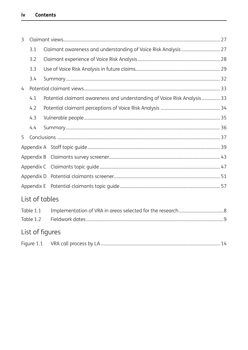| 3 |                        |                                                                           |  |  |  |  |
|---|------------------------|---------------------------------------------------------------------------|--|--|--|--|
|   | 3.1                    |                                                                           |  |  |  |  |
|   | 3.2                    |                                                                           |  |  |  |  |
|   | 3.3                    |                                                                           |  |  |  |  |
|   | 3.4                    |                                                                           |  |  |  |  |
| 4 |                        |                                                                           |  |  |  |  |
|   | 4.1                    | Potential claimant awareness and understanding of Voice Risk Analysis  33 |  |  |  |  |
|   | 4.2                    |                                                                           |  |  |  |  |
|   | 4.3                    |                                                                           |  |  |  |  |
|   | 4.4                    |                                                                           |  |  |  |  |
| 5 |                        |                                                                           |  |  |  |  |
|   |                        |                                                                           |  |  |  |  |
|   | Appendix B             |                                                                           |  |  |  |  |
|   | Appendix C             |                                                                           |  |  |  |  |
|   | Appendix D             |                                                                           |  |  |  |  |
|   | Appendix E             |                                                                           |  |  |  |  |
|   |                        | List of tables                                                            |  |  |  |  |
|   | Table 1.1<br>Table 1.2 |                                                                           |  |  |  |  |
|   |                        | List of figures                                                           |  |  |  |  |

| Figure | VRA call process by LA. |  |  |  |
|--------|-------------------------|--|--|--|
|--------|-------------------------|--|--|--|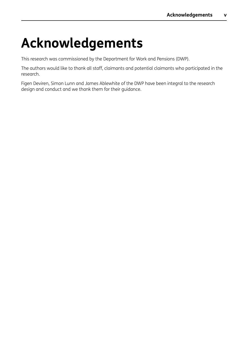# <span id="page-5-0"></span>**Acknowledgements**

This research was commissioned by the Department for Work and Pensions (DWP).

The authors would like to thank all staff, claimants and potential claimants who participated in the research.

Figen Deviren, Simon Lunn and James Ablewhite of the DWP have been integral to the research design and conduct and we thank them for their guidance.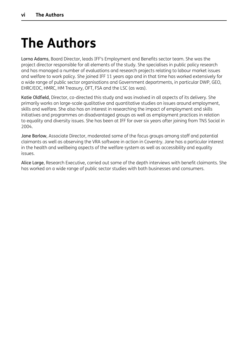# <span id="page-6-0"></span>**The Authors**

Lorna Adams, Board Director, leads IFF's Employment and Benefits sector team. She was the project director responsible for all elements of the study. She specialises in public policy research and has managed a number of evaluations and research projects relating to labour market issues and welfare to work policy. She joined IFF 11 years ago and in that time has worked extensively for a wide range of public sector organisations and Government departments, in particular DWP, GEO, EHRC/EOC, HMRC, HM Treasury, OFT, FSA and the LSC (as was).

Katie Oldfield, Director, co-directed this study and was involved in all aspects of its delivery. She primarily works on large-scale qualitative and quantitative studies on issues around employment, skills and welfare. She also has an interest in researching the impact of employment and skills initiatives and programmes on disadvantaged groups as well as employment practices in relation to equality and diversity issues. She has been at IFF for over six years after joining from TNS Social in 2004.

Jane Barlow, Associate Director, moderated some of the focus groups among staff and potential claimants as well as observing the VRA software in action in Coventry. Jane has a particular interest in the health and wellbeing aspects of the welfare system as well as accessibility and equality issues.

Alice Large, Research Executive, carried out some of the depth interviews with benefit claimants. She has worked on a wide range of public sector studies with both businesses and consumers.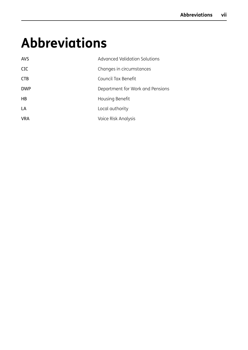# <span id="page-7-0"></span>**Abbreviations**

| <b>AVS</b> | Advanced Validation Solutions    |
|------------|----------------------------------|
| <b>CIC</b> | Changes in circumstances         |
| <b>CTB</b> | Council Tax Benefit              |
| <b>DWP</b> | Department for Work and Pensions |
| HB         | Housing Benefit                  |
| LA         | Local authority                  |
| <b>VRA</b> | Voice Risk Analysis              |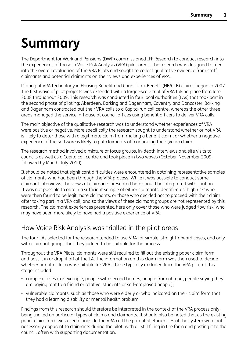# <span id="page-8-0"></span>**Summary**

The Department for Work and Pensions (DWP) commissioned IFF Research to conduct research into the experiences of those in Voice Risk Analysis (VRA) pilot areas. The research was designed to feed into the overall evaluation of the VRA Pilots and sought to collect qualitative evidence from staff, claimants and potential claimants on their views and experiences of VRA.

Piloting of VRA technology in Housing Benefit and Council Tax Benefit (HB/CTB) claims began in 2007. The first wave of pilot projects was extended with a larger-scale trial of VRA taking place from late 2008 throughout 2009. This research was conducted in four local authorities (LAs) that took part in the second phase of piloting: Aberdeen, Barking and Dagenham, Coventry and Doncaster. Barking and Dagenham contracted out their VRA calls to a Capita-run call centre, whereas the other three areas managed the service in-house at council offices using benefit officers to deliver VRA calls.

The main objective of the qualitative research was to understand whether experiences of VRA were positive or negative. More specifically the research sought to understand whether or not VRA is likely to deter those with a legitimate claim from making a benefit claim, or whether a negative experience of the software is likely to put claimants off continuing their (valid) claim.

The research method involved a mixture of focus groups, in-depth interviews and site visits to councils as well as a Capita call centre and took place in two waves (October-November 2009, followed by March-July 2010).

It should be noted that significant difficulties were encountered in obtaining representative samples of claimants who had been through the VRA process. While it was possible to conduct some claimant interviews, the views of claimants presented here should be interpreted with caution. It was not possible to obtain a sufficient sample of either claimants identified as 'high risk' who were then found to be legitimate claimants, or those who decided not to proceed with their claim after taking part in a VRA call, and so the views of these claimant groups are not represented by this research. The claimant experiences presented here only cover those who were judged 'low risk' who may have been more likely to have had a positive experience of VRA.

## How Voice Risk Analysis was trialled in the pilot areas

The four LAs selected for the research tended to use VRA for simple, straightforward cases, and only with claimant groups that they judged to be suitable for the process.

Throughout the VRA Pilots, claimants were still required to fill out the existing paper claim form and post it in or drop it off at the LA. The information on this claim form was then used to decide whether or not a claim was suitable for VRA. Those typically excluded from the VRA pilot at this stage included:

- complex cases (for example, people with second homes, people from abroad, people saying they are paying rent to a friend or relative, students or self-employed people);
- vulnerable claimants, such as those who were elderly or who indicated on their claim form that they had a learning disability or mental health problem.

Findings from this research should therefore be interpreted in the context of the VRA process only being trialled on particular types of claims and claimants. It should also be noted that as the existing paper claim form was used alongside the VRA call the potential efficiencies of the system were not necessarily apparent to claimants during the pilot, with all still filling in the form and posting it to the council, often with supporting documentation.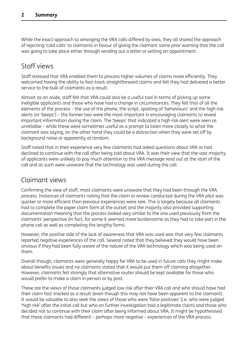While the exact approach to arranging the VRA calls differed by area, they all shared the approach of rejecting 'cold calls' to claimants in favour of giving the claimant some prior warning that the call was going to take place either through sending out a letter or setting an appointment.

## Staff views

Staff stressed that VRA enabled them to process higher volumes of claims more efficiently. They welcomed having the ability to fast-track straightforward claims and felt they had delivered a better service to the bulk of claimants as a result.

Almost as an aside, staff felt that VRA could also be a useful tool in terms of picking up some ineligible applicants and those who have had a change in circumstances. They felt that of all the elements of the process – the use of the phone, the script, spotting of 'behaviours' and the high risk alerts (or 'beeps') – the former two were the most important in encouraging claimants to reveal important information during the claim. The 'beeps' that indicated a high risk alert were seen as unreliable – while these were sometimes useful as a prompt to listen more closely to what the claimant was saying, on the other hand they could be a distraction when they were set off by background noise or apparently at random.

Staff noted that in their experience very few claimants had asked questions about VRA or had declined to continue with the call after being told about VRA. It was their view that the vast majority of applicants were unlikely to pay much attention to the VRA message read out at the start of the call and as such were unaware that the technology was used during the call.

## Claimant views

Confirming the view of staff, most claimants were unaware that they had been through the VRA process. Instances of claimants noting that the claim or review conducted during the VRA pilot was quicker or more efficient than previous experiences were rare. This is largely because all claimants had to complete the paper claim form at the outset and the majority also provided supporting documentation meaning that the process looked very similar to the one used previously from the claimants' perspective (in fact, for some it seemed more burdensome as they had to take part in the phone call as well as completing the lengthy form).

However, the positive side of the lack of awareness that VRA was used was that very few claimants reported negative experiences of the call. Several noted that they believed they would have been anxious if they had been fully aware of the nature of the VRA technology which was being used on them.

Overall though, claimants were generally happy for VRA to be used in future calls they might make about benefits issues and no claimants stated that it would put them off claiming altogether. However, claimants felt strongly that alternative routes should be kept available for those who would prefer to make a claim in person or by post.

These are the views of those claimants judged low risk after their VRA call and who should have had their claim fast-tracked as a result (even though this may not have been apparent to the claimant). It would be valuable to also seek the views of those who were 'false positives' (i.e. who were judged 'high risk' after the initial call but who on further investigation had a legitimate claim) and those who decided not to continue with their claim after being informed about VRA. It might be hypothesised that these claimants had different – perhaps more negative – experiences of the VRA process.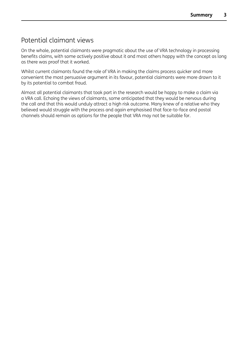## Potential claimant views

On the whole, potential claimants were pragmatic about the use of VRA technology in processing benefits claims, with some actively positive about it and most others happy with the concept as long as there was proof that it worked.

Whilst current claimants found the role of VRA in making the claims process quicker and more convenient the most persuasive argument in its favour, potential claimants were more drawn to it by its potential to combat fraud.

Almost all potential claimants that took part in the research would be happy to make a claim via a VRA call. Echoing the views of claimants, some anticipated that they would be nervous during the call and that this would unduly attract a high risk outcome. Many knew of a relative who they believed would struggle with the process and again emphasised that face-to-face and postal channels should remain as options for the people that VRA may not be suitable for.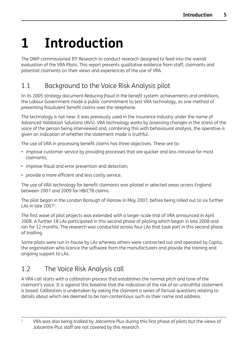# <span id="page-11-0"></span>**1 Introduction**

The DWP commissioned IFF Research to conduct research designed to feed into the overall evaluation of the VRA Pilots. This report presents qualitative evidence from staff, claimants and potential claimants on their views and experiences of the use of VRA.

## 1.1 Background to the Voice Risk Analysis pilot

In its 2005 strategy document *Reducing fraud in the benefit system: achievements and ambitions*, the Labour Government made a public commitment to test VRA technology, as one method of preventing fraudulent benefit claims over the telephone.

The technology is not new: it was previously used in the insurance industry under the name of Advanced Validation Solutions (AVS). VRA technology works by assessing changes in the stress of the voice of the person being interviewed and, combining this with behavioural analysis, the operative is given an indication of whether the statement made is truthful.

The use of VRA in processing benefit claims has three objectives. These are to:

- improve customer service by providing processes that are quicker and less intrusive for most claimants;
- improve fraud and error prevention and detection;
- provide a more efficient and less costly service.

The use of VRA technology for benefit claimants was piloted in selected areas across England between 2007 and 2009 for HB/CTB claims.

The pilot began in the London Borough of Harrow in May 2007, before being rolled out to six further LAs in  $\int$ d $\tan 2007^1$ .

The first wave of pilot projects was extended with a larger-scale trial of VRA announced in April 2008. A further 18 LAs participated in this second phase of piloting which began in late 2008 and ran for 12 months. The research was conducted across four LAs that took part in this second phase of trialling.

Some pilots were run in-house by LAs whereas others were contracted out and operated by Capita, the organisation who licence the software from the manufacturers and provide the training and ongoing support to LAs.

## 1.2 The Voice Risk Analysis call

A VRA call starts with a calibration process that establishes the normal pitch and tone of the claimant's voice. It is against this baseline that the indication of the risk of an untruthful statement is based. Calibration is undertaken by asking the claimant a series of factual questions relating to details about which are deemed to be non-contentious such as their name and address.

<sup>&</sup>lt;sup>1</sup> VRA was also being trialled by Jobcentre Plus during this first phase of pilots but the views of Jobcentre Plus staff are not covered by this research.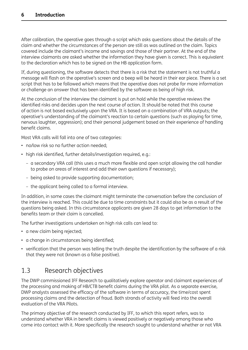<span id="page-12-0"></span>After calibration, the operative goes through a script which asks questions about the details of the claim and whether the circumstances of the person are still as was outlined on the claim. Topics covered include the claimant's income and savings and those of their partner. At the end of the interview claimants are asked whether the information they have given is correct. This is equivalent to the declaration which has to be signed on the HB application form.

If, during questioning, the software detects that there is a risk that the statement is not truthful a message will flash on the operative's screen and a beep will be heard in their ear piece. There is a set script that has to be followed which means that the operative does not probe for more information or challenge an answer that has been identified by the software as being of high risk.

At the conclusion of the interview the claimant is put on hold while the operative reviews the identified risks and decides upon the next course of action. It should be noted that this course of action is not based exclusively upon the VRA. It is based on a combination of VRA outputs; the operative's understanding of the claimant's reaction to certain questions (such as playing for time, nervous laughter, aggression); and their personal judgement based on their experience of handling benefit claims.

Most VRA calls will fall into one of two categories:

- no/low risk so no further action needed;
- high risk identified, further details/investigation required, e.g.:
	- a secondary VRA call (this uses a much more flexible and open script allowing the call handler to probe on areas of interest and add their own questions if necessary);
	- being asked to provide supporting documentation;
	- the applicant being called to a formal interview.

In addition, in some cases the claimant might terminate the conversation before the conclusion of the interview is reached. This could be due to time constraints but it could also be as a result of the questions being asked. In this circumstance applicants are given 28 days to get information to the benefits team or their claim is cancelled.

The further investigations undertaken on high risk calls can lead to:

- a new claim being rejected;
- a change in circumstances being identified;
- verification that the person was telling the truth despite the identification by the software of a risk that they were not (known as a false positive).

## 1.3 Research objectives

The DWP commissioned IFF Research to qualitatively explore operator and claimant experiences of the processing and making of HB/CTB benefit claims during the VRA pilot. As a separate exercise, DWP analysts assessed the efficacy of the software in terms of accuracy, the time/cost spent processing claims and the detection of fraud. Both strands of activity will feed into the overall evaluation of the VRA Pilots.

The primary objective of the research conducted by IFF, to which this report refers, was to understand whether VRA in benefit claims is viewed positively or negatively among those who come into contact with it. More specifically the research sought to understand whether or not VRA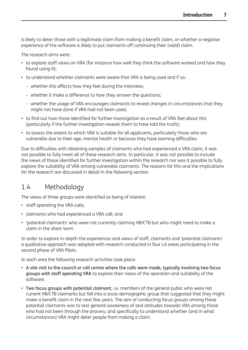<span id="page-13-0"></span>is likely to deter those with a legitimate claim from making a benefit claim, or whether a negative experience of the software is likely to put claimants off continuing their (valid) claim.

The research aims were:

- to explore staff views on VRA (for instance how well they think the software worked and how they found using it);
- to understand whether claimants were aware that VRA is being used and if so:
	- whether this affects how they feel during the interview;
	- whether it make a difference to how they answer the questions;
	- whether the usage of VRA encourages claimants to reveal changes in circumstances that they might not have done if VRA had not been used;
- to find out how those identified for further investigation as a result of VRA feel about this (particularly if the further investigation reveals them to have told the truth);
- to assess the extent to which VRA is suitable for all applicants, particularly those who are vulnerable due to their age, mental health or because they have learning difficulties.

Due to difficulties with obtaining samples of claimants who had experienced a VRA claim, it was not possible to fully meet all of these research aims. In particular, it was not possible to include the views of those identified for further investigation within the research nor was it possible to fully explore the suitability of VRA among vulnerable claimants. The reasons for this and the implications for the research are discussed in detail in the following section.

## 1.4 Methodology

The views of three groups were identified as being of interest:

- staff operating the VRA calls;
- claimants who had experienced a VRA call; and
- 'potential claimants' who were not currently claiming HB/CTB but who might need to make a claim in the short-term.

In order to explore in-depth the experiences and views of staff, claimants and 'potential claimants' a qualitative approach was adopted with research conducted in four LA areas participating in the second phase of VRA Pilots.

In each area the following research activities took place:

- A site visit to the council or call centre where the calls were made, typically involving two focus groups with staff operating VRA to explore their views of the operation and suitability of the software.
- Two focus groups with potential claimant, i.e. members of the general public who were not current HB/CTB claimants but fell into a socio-demographic group that suggested that they might make a benefit claim in the next few years. The aim of conducting focus groups among these potential claimants was to test general awareness of and attitudes towards VRA among those who had not been through the process, and specifically to understand whether (and in what circumstances) VRA might deter people from making a claim.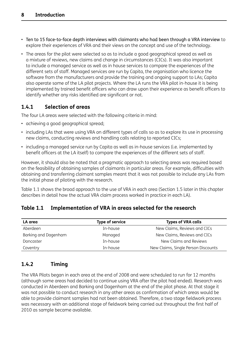- <span id="page-14-0"></span>• Ten to 15 face-to-face depth interviews with claimants who had been through a VRA interview to explore their experiences of VRA and their views on the concept and use of the technology.
- The areas for the pilot were selected so as to include a good geographical spread as well as a mixture of reviews, new claims and change in circumstances (CICs). It was also important to include a managed service as well as in house services to compare the experiences of the different sets of staff. Managed services are run by Capita, the organisation who licence the software from the manufacturers and provide the training and ongoing support to LAs; Capita also operate some of the LA pilot projects. Where the LA runs the VRA pilot in-house it is being implemented by trained benefit officers who can draw upon their experience as benefit officers to identify whether any risks identified are significant or not.

### **1.4.1 Selection of areas**

The four LA areas were selected with the following criteria in mind:

- achieving a good geographical spread;
- including LAs that were using VRA on different types of calls so as to explore its use in processing new claims, conducting reviews and handling calls relating to reported CICs;
- including a managed service run by Capita as well as in-house services (i.e. implemented by benefit officers at the LA itself) to compare the experiences of the different sets of staff.

However, it should also be noted that a pragmatic approach to selecting areas was required based on the feasibility of obtaining samples of claimants in particular areas. For example, difficulties with obtaining and transferring claimant samples meant that it was not possible to include any LAs from the initial phase of piloting with the research.

Table 1.1 shows the broad approach to the use of VRA in each area (Section 1.5 later in this chapter describes in detail how the actual VRA claim process worked in practice in each LA).

| LA area              | <b>Type of service</b> | <b>Types of VRA calls</b>           |
|----------------------|------------------------|-------------------------------------|
| Aberdeen             | In-house               | New Claims, Reviews and CICs        |
| Barking and Dagenham | Managed                | New Claims, Reviews and CICs        |
| Doncaster            | In-house               | New Claims and Reviews              |
| Coventry             | In-house               | New Claims, Single Person Discounts |

#### **Table 1.1 Implementation of VRA in areas selected for the research**

### **1.4.2 Timing**

The VRA Pilots began in each area at the end of 2008 and were scheduled to run for 12 months (although some areas had decided to continue using VRA after the pilot had ended). Research was conducted in Aberdeen and Barking and Dagenham at the end of the pilot phase. At that stage it was not possible to conduct research in any other areas as confirmation of which areas would be able to provide claimant samples had not been obtained. Therefore, a two stage fieldwork process was necessary with an additional stage of fieldwork being carried out throughout the first half of 2010 as sample became available.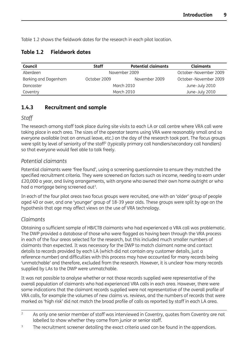<span id="page-15-0"></span>Table 1.2 shows the fieldwork dates for the research in each pilot location.

### **Table 1.2 Fieldwork dates**

| Council              | Staff        | <b>Potential claimants</b> | <b>Claimants</b>      |  |
|----------------------|--------------|----------------------------|-----------------------|--|
| Aberdeen             |              | November 2009              | October-November 2009 |  |
| Barking and Dagenham | October 2009 | November 2009              | October-November 2009 |  |
| Doncaster            |              | March 2010                 |                       |  |
| Coventry             |              | March 2010                 |                       |  |

### **1.4.3 Recruitment and sample**

#### *Staff*

The research among staff took place during site visits to each LA or call centre where VRA call were taking place in each area. The sizes of the operator teams using VRA were reasonably small and so everyone available (not on annual leave, etc.) on the day of the research took part. The focus groups were split by level of seniority of the staff<sup>2</sup> (typically primary call handlers/secondary call handlers) so that everyone would feel able to talk freely.

#### *Potential claimants*

Potential claimants were 'free found', using a screening questionnaire to ensure they matched the specified recruitment criteria. They were screened on factors such as income, needing to earn under £20,000 a year, and living arrangements, with anyone who owned their own home outright or who had a mortgage being screened out<sup>3</sup>.

In each of the four pilot areas two focus groups were recruited, one with an 'older' group of people aged 40 or over, and one 'younger' group of 18-39 year olds. These groups were split by age on the hypothesis that age may affect views on the use of VRA technology.

### *Claimants*

Obtaining a sufficient sample of HB/CTB claimants who had experienced a VRA call was problematic. The DWP provided a database of those who were flagged as having been through the VRA process in each of the four areas selected for the research, but this included much smaller numbers of claimants than expected. It was necessary for the DWP to match claimant name and contact details to records provided by each LA (which did not contain any customer details, just a reference number) and difficulties with this process may have accounted for many records being 'unmatchable' and therefore, excluded from the research. However, it is unclear how many records supplied by LAs to the DWP were unmatchable.

It was not possible to analyse whether or not those records supplied were representative of the overall population of claimants who had experienced VRA calls in each area. However, there were some indications that the claimant records supplied were not representative of the overall profile of VRA calls, for example the volumes of new claims vs. reviews, and the numbers of records that were marked as 'high risk' did not match the broad profile of calls as reported by staff in each LA area.

<sup>&</sup>lt;sup>2</sup> As only one senior member of staff was interviewed in Coventry, quotes from Coventry are not labelled to show whether they come from junior or senior staff.

<sup>&</sup>lt;sup>3</sup> The recruitment screener detailing the exact criteria used can be found in the appendices.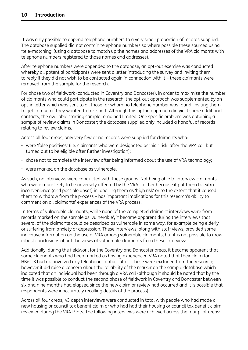It was only possible to append telephone numbers to a very small proportion of records supplied. The database supplied did not contain telephone numbers so where possible these sourced using 'tele-matching' (using a database to match up the names and addresses of the VRA claimants with telephone numbers registered to those names and addresses).

After telephone numbers were appended to the database, an opt-out exercise was conducted whereby all potential participants were sent a letter introducing the survey and inviting them to reply if they did not wish to be contacted again in connection with it – these claimants were removed from the sample for the research.

For phase two of fieldwork (conducted in Coventry and Doncaster), in order to maximise the number of claimants who could participate in the research, the opt-out approach was supplemented by an opt-in letter which was sent to all those for whom no telephone number was found, inviting them to get in touch if they wanted to take part. Although this opt-in approach did yield some additional contacts, the available starting sample remained limited. One specific problem was obtaining a sample of review claims in Doncaster; the database supplied only included a handful of records relating to review claims.

Across all four areas, only very few or no records were supplied for claimants who:

- were 'false positives' (i.e. claimants who were designated as 'high risk' after the VRA call but turned out to be eligible after further investigation);
- chose not to complete the interview after being informed about the use of VRA technology;
- were marked on the database as vulnerable.

As such, no interviews were conducted with these groups. Not being able to interview claimants who were more likely to be adversely affected by the VRA - either because it put them to extra inconvenience (and possible upset) in labelling them as 'high risk' or to the extent that it caused them to withdraw from the process – has important implications for this research's ability to comment on all claimants' experiences of the VRA process.

In terms of vulnerable claimants, while none of the completed claimant interviews were from records marked on the sample as 'vulnerable', it became apparent during the interviews that several of the claimants could be described as vulnerable in some way, for example being elderly or suffering from anxiety or depression. These interviews, along with staff views, provided some indicative information on the use of VRA among vulnerable claimants, but it is not possible to draw robust conclusions about the views of vulnerable claimants from these interviews.

Additionally, during the fieldwork for the Coventry and Doncaster areas, it became apparent that some claimants who had been marked as having experienced VRA noted that their claim for HB/CTB had not involved any telephone contact at all. These were excluded from the research; however it did raise a concern about the reliability of the marker on the sample database which indicated that an individual had been through a VRA call (although it should be noted that by the time it was possible to conduct the second phase of fieldwork in Coventry and Doncaster between six and nine months had elapsed since the new claim or review had occurred and it is possible that respondents were inaccurately recalling details of the process).

Across all four areas, 43 depth interviews were conducted in total with people who had made a new housing or council tax benefit claim or who had had their housing or council tax benefit claim reviewed during the VRA Pilots. The following interviews were achieved across the four pilot areas: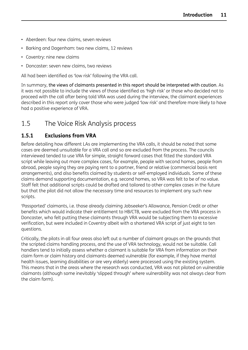- <span id="page-17-0"></span>• Aberdeen: four new claims, seven reviews
- Barking and Dagenham: two new claims, 12 reviews
- Coventry: nine new claims
- Doncaster: seven new claims, two reviews

All had been identified as 'low risk' following the VRA call.

In summary, the views of claimants presented in this report should be interpreted with caution. As it was not possible to include the views of those identified as 'high risk' or those who decided not to proceed with the call after being told VRA was used during the interview, the claimant experiences described in this report only cover those who were judged 'low risk' and therefore more likely to have had a positive experience of VRA.

## 1.5 The Voice Risk Analysis process

## **1.5.1 Exclusions from VRA**

Before detailing how different LAs are implementing the VRA calls, it should be noted that some cases are deemed unsuitable for a VRA call and so are excluded from the process. The councils interviewed tended to use VRA for simple, straight forward cases that fitted the standard VRA script while leaving out more complex cases, for example, people with second homes, people from abroad, people saying they are paying rent to a partner, friend or relative (commercial basis rent arrangements), and also benefits claimed by students or self-employed individuals. Some of these claims demand supporting documentation, e.g. second homes, so VRA was felt to be of no value. Staff felt that additional scripts could be drafted and tailored to other complex cases in the future but that the pilot did not allow the necessary time and resources to implement any such new scripts.

'Passported' claimants, i.e. those already claiming Jobseeker's Allowance, Pension Credit or other benefits which would indicate their entitlement to HB/CTB, were excluded from the VRA process in Doncaster, who felt putting these claimants through VRA would be subjecting them to excessive verification, but were included in Coventry albeit with a shortened VRA script of just eight to ten questions.

Critically, the pilots in all four areas also left out a number of claimant groups on the grounds that the scripted claims handling process, and the use of VRA technology, would not be suitable. Call handlers tend to initially assess whether a claimant is suitable for VRA from information on their claim form or claim history and claimants deemed vulnerable (for example, if they have mental health issues, learning disabilities or are very elderly) were processed using the existing system. This means that in the areas where the research was conducted, VRA was not piloted on vulnerable claimants (although some inevitably 'slipped through' where vulnerability was not always clear from the claim form).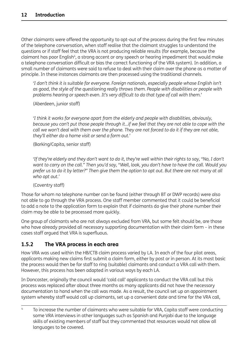<span id="page-18-0"></span>Other claimants were offered the opportunity to opt-out of the process during the first few minutes of the telephone conversation, when staff realise that the claimant struggles to understand the questions or if staff feel that the VRA is not producing reliable results (for example, because the claimant has poor English<sup>4</sup>, a strong accent or any speech or hearing impediment that would make a telephone conversation difficult or bias the correct functioning of the VRA system). In addition, a small number of claimants were said to refuse to deal with their claim over the phone as a matter of principle. In these instances claimants are then processed using the traditional channels.

*'I don't think it is suitable for everyone. Foreign nationals, especially people whose English isn't as good, the style of the questioning really throws them. People with disabilities or people with problems hearing or speech even. It's very difficult to do that type of call with them.'*

(Aberdeen, junior staff)

*'I think it works for everyone apart from the elderly and people with disabilities, obviously,* because you can't put those people through it...if we feel that they are not able to cope with the call we won't deal with them over the phone. They are not forced to do it if they are not able, *they'll either do a home visit or send a form out.'*

(Barking/Capita, senior staff)

'If they're elderly and they don't want to do it, they're well within their rights to say, "No, I don't want to carry on the call." Then you'd say, "Well, look, you don't have to have the call. Would you prefer us to do it by letter?" Then give them the option to opt out. But there are not many at all *who opt out.'*

(Coventry staff)

Those for whom no telephone number can be found (either through BT or DWP records) were also not able to go through the VRA process. One staff member commented that it could be beneficial to add a note to the application form to explain that if claimants do give their phone number their claim may be able to be processed more quickly.

One group of claimants who are not always excluded from VRA, but some felt should be, are those who have already provided all necessary supporting documentation with their claim form - in these cases staff argued that VRA is superfluous.

### **1.5.2 The VRA process in each area**

How VRA was used within the HB/CTB claim process varied by LA. In each of the four pilot areas, applicants making new claims first submit a claim form, either by post or in person. At its most basic the process would then be for staff to ring (suitable) claimants and conduct a VRA call with them. However, this process has been adapted in various ways by each LA.

In Doncaster, originally the council would 'cold call' applicants to conduct the VRA call but this process was replaced after about three months as many applicants did not have the necessary documentation to hand when the call was made. As a result, the council set up an appointment system whereby staff would call up claimants, set up a convenient date and time for the VRA call,

<sup>&</sup>lt;sup>4</sup> To increase the number of claimants who were suitable for VRA, Capita staff were conducting some VRA interviews in other languages such as Spanish and Punjabi due to the language skills of existing members of staff but they commented that resources would not allow all languages to be covered.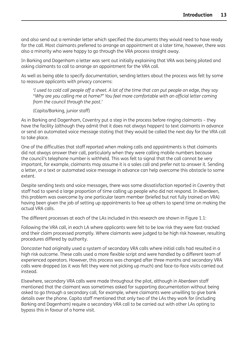and also send out a reminder letter which specified the documents they would need to have ready for the call. Most claimants preferred to arrange an appointment at a later time, however, there was also a minority who were happy to go through the VRA process straight away.

In Barking and Dagenham a letter was sent out initially explaining that VRA was being piloted and asking claimants to call to arrange an appointment for the VRA call.

As well as being able to specify documentation, sending letters about the process was felt by some to reassure applicants with privacy concerns:

'I used to cold call people off a sheet. A lot of the time that can put people on edge, they say *"Why are you calling me at home?" You feel more comfortable with an official letter coming from the council through the post.'*

(Capita/Barking, junior staff)

As in Barking and Dagenham, Coventry put a step in the process before ringing claimants – they have the facility (although they admit that it does not always happen) to text claimants in advance or send an automated voice message stating that they would be called the next day for the VRA call to take place.

One of the difficulties that staff reported when making calls and appointments is that claimants did not always answer their call, particularly when they were calling mobile numbers because the council's telephone number is withheld. This was felt to signal that the call cannot be very important, for example, claimants may assume it is a sales call and prefer not to answer it. Sending a letter, or a text or automated voice message in advance can help overcome this obstacle to some extent.

Despite sending texts and voice messages, there was some dissatisfaction reported in Coventry that staff had to spend a large proportion of time calling up people who did not respond. In Aberdeen, this problem was overcome by one particular team member (briefed but not fully trained on VRA) having been given the job of setting up appointments to free up others to spend time on making the actual VRA calls.

The different processes at each of the LAs included in this research are shown in Figure 1.1:

Following the VRA call, in each LA where applicants were felt to be low risk they were fast-tracked and their claim processed promptly. Where claimants were judged to be high risk however, resulting procedures differed by authority.

Doncaster had originally used a system of secondary VRA calls where initial calls had resulted in a high risk outcome. These calls used a more flexible script and were handled by a different team of experienced operators. However, this process was changed after three months and secondary VRA calls were dropped (as it was felt they were not picking up much) and face-to-face visits carried out instead.

Elsewhere, secondary VRA calls were made throughout the pilot, although in Aberdeen staff mentioned that the claimant was sometimes asked for supporting documentation without being asked to go through a secondary call, for example, where claimants were unwilling to give bank details over the phone. Capita staff mentioned that only two of the LAs they work for (including Barking and Dagenham) require a secondary VRA call to be carried out with other LAs opting to bypass this in favour of a home visit.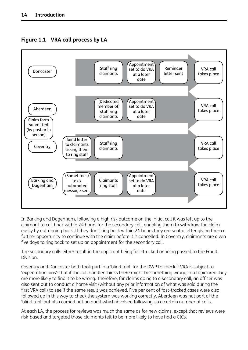

### <span id="page-20-0"></span>**Figure 1.1 VRA call process by LA**

In Barking and Dagenham, following a high risk outcome on the initial call it was left up to the claimant to call back within 24 hours for the secondary call, enabling them to withdraw the claim easily by not ringing back. If they don't ring back within 24 hours they are sent a letter giving them a further opportunity to continue with the claim before it is cancelled. In Coventry, claimants are given five days to ring back to set up an appointment for the secondary call.

The secondary calls either result in the applicant being fast-tracked or being passed to the Fraud Division.

Coventry and Doncaster both took part in a 'blind trial' for the DWP to check if VRA is subject to 'expectation bias': that if the call handler thinks there might be something wrong in a topic area they are more likely to find it to be wrong. Therefore, for claims going to a secondary call, an officer was also sent out to conduct a home visit (without any prior information of what was said during the first VRA call) to see if the same result was achieved. Five per cent of fast-tracked cases were also followed up in this way to check the system was working correctly. Aberdeen was not part of the 'blind trial' but also carried out an audit which involved following up a certain number of calls.

At each LA, the process for reviews was much the same as for new claims, except that reviews were risk-based and targeted those claimants felt to be more likely to have had a CICs.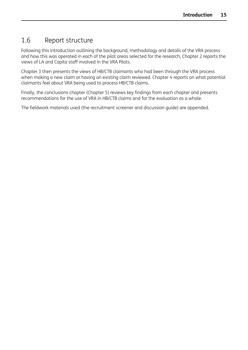## <span id="page-21-0"></span>1.6 Report structure

Following this introduction outlining the background, methodology and details of the VRA process and how this was operated in each of the pilot areas selected for the research, Chapter 2 reports the views of LA and Capita staff involved in the VRA Pilots.

Chapter 3 then presents the views of HB/CTB claimants who had been through the VRA process when making a new claim or having an existing claim reviewed. Chapter 4 reports on what potential claimants feel about VRA being used to process HB/CTB claims.

Finally, the conclusions chapter (Chapter 5) reviews key findings from each chapter and presents recommendations for the use of VRA in HB/CTB claims and for the evaluation as a whole.

The fieldwork materials used (the recruitment screener and discussion guide) are appended.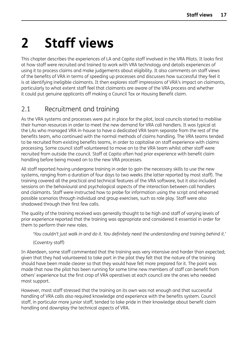# <span id="page-22-0"></span>**2 Staff views**

This chapter describes the experiences of LA and Capita staff involved in the VRA Pilots. It looks first at how staff were recruited and trained to work with VRA technology and details experiences of using it to process claims and make judgements about eligibility. It also comments on staff views of the benefits of VRA in terms of speeding up processes and discusses how successful they feel it is at identifying ineligible claimants. It then explores staff impressions of VRA's impact on claimants, particularly to what extent staff feel that claimants are aware of the VRA process and whether it could put genuine applicants off making a Council Tax or Housing Benefit claim.

## 2.1 Recruitment and training

As the VRA systems and processes were put in place for the pilot, local councils started to mobilise their human resources in order to meet the new demand for VRA call handlers. It was typical at the LAs who managed VRA in-house to have a dedicated VRA team separate from the rest of the benefits team, who continued with the normal methods of claims handling. The VRA teams tended to be recruited from existing benefits teams, in order to capitalise on staff experience with claims processing. Some council staff volunteered to move on to the VRA team whilst other staff were recruited from outside the council. Staff at Capita often had prior experience with benefit claim handling before being moved on to the new VRA processes.

All staff reported having undergone training in order to gain the necessary skills to use the new systems, ranging from a duration of four days to two weeks (the latter reported by most staff). The training covered all the practical and technical features of the VRA software, but it also included sessions on the behavioural and psychological aspects of the interaction between call handlers and claimants. Staff were instructed how to probe for information using the script and rehearsed possible scenarios through individual and group exercises, such as role play. Staff were also shadowed through their first few calls.

The quality of the training received was generally thought to be high and staff of varying levels of prior experience reported that the training was appropriate and considered it essential in order for them to perform their new roles.

*'You couldn't just walk in and do it. You definitely need the understanding and training behind it.'*

(Coventry staff)

In Aberdeen, some staff commented that the training was very intensive and harder than expected; given that they had volunteered to take part in the pilot they felt that the nature of the training should have been made clearer so that they would have felt more prepared for it. The point was made that now the pilot has been running for some time new members of staff can benefit from others' experience but the first crop of VRA operatives at each council are the ones who needed most support.

However, most staff stressed that the training on its own was not enough and that successful handling of VRA calls also required knowledge and experience with the benefits system. Council staff, in particular more junior staff, tended to take pride in their knowledge about benefit claim handling and downplay the technical aspects of VRA.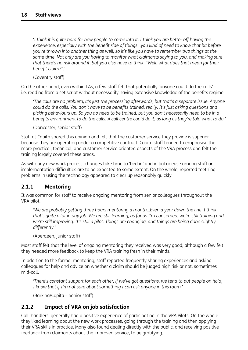<span id="page-23-0"></span>'I think it is quite hard for new people to come into it. I think you are better off having the *experience, especially with the benefit side of things…you kind of need to know that bit before you're thrown into another thing as well, so it's like you have to remember two things at the same time. Not only are you having to monitor what claimants saying to you, and making sure* that there's no risk around it, but you also have to think, "Well, what does that mean for their *benefit claim?".'*

(Coventry staff)

On the other hand, even within LAs, a few staff felt that potentially 'anyone could do the calls' – i.e. reading from a set script without necessarily having extensive knowledge of the benefits regime.

*'The calls are no problem, it's just the processing afterwards, but that's a separate issue. Anyone could do the calls. You don't have to be benefits trained, really. It's just asking questions and* picking behaviours up. So you do need to be trained, but you don't necessarily need to be in a benefits environment to do the calls. A call centre could do it, as long as they're told what to do.'

(Doncaster, senior staff)

Staff at Capita shared this opinion and felt that the customer service they provide is superior because they are operating under a competitive contract. Capita staff tended to emphasise the more practical, technical, and customer service oriented aspects of the VRA process and felt the training largely covered these areas.

As with any new work process, changes take time to 'bed in' and initial unease among staff or implementation difficulties are to be expected to some extent. On the whole, reported teething problems in using the technology appeared to clear up reasonably quickly.

#### **2.1.1 Mentoring**

It was common for staff to receive ongoing mentoring from senior colleagues throughout the VRA pilot.

*'We are probably getting three hours mentoring a month…Even a year down the line, I think* that's quite a lot in any job. We are still learning, as far as I'm concerned, we're still training and *we're still improving. It's still a pilot. Things are changing, and things are being done slightly differently.'*

(Aberdeen, junior staff)

Most staff felt that the level of ongoing mentoring they received was very good; although a few felt they needed more feedback to keep the VRA training fresh in their minds.

In addition to the formal mentoring, staff reported frequently sharing experiences and asking colleagues for help and advice on whether a claim should be judged high risk or not, sometimes mid-call.

*'There's constant support for each other, if we've got questions, we tend to put people on hold, I know that if I'm not sure about something I can ask anyone in this room.'*

(Barking/Capita – Senior staff)

#### **2.1.2 Impact of VRA on job satisfaction**

Call 'handlers' generally had a positive experience of participating in the VRA Pilots. On the whole they liked learning about the new work processes, going through the training and then applying their VRA skills in practice. Many also found dealing directly with the public, and receiving positive feedback from claimants about the improved service, to be gratifying.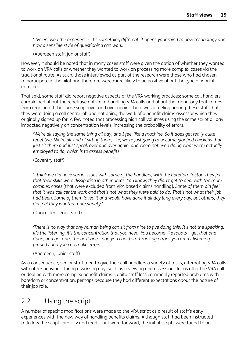<span id="page-24-0"></span>*'I've enjoyed the experience. It's something different, it opens your mind to how technology and how a sensible style of questioning can work.'*

(Aberdeen staff, junior staff)

However, it should be noted that in many cases staff were given the option of whether they wanted to work on VRA calls or whether they wanted to work on processing more complex cases via the traditional route. As such, those interviewed as part of the research were those who had chosen to participate in the pilot and therefore were more likely to be positive about the type of work it entailed.

That said, some staff did report negative aspects of the VRA working practices; some call handlers complained about the repetitive nature of handling VRA calls and about the monotony that comes from reading off the same script over and over again. There was a feeling among these staff that they were doing a call centre job and not doing the work of a benefit claims assessor which they originally signed up for. A few noted that processing high call volumes using the same script all day impacted negatively on concentration levels, increasing the probability of errors.

'We're all saying the same thing all day, and I feel like a machine. So it does get really quite *repetitive. We're all kind of sitting there, like, we're just going to become glorified chickens that just sit there and just speak over and over again, and we're not even doing what we're actually employed to do, which is to assess benefits.'*

(Coventry staff)

*'I think we did have some issues with some of the handlers, with the boredom factor. They felt that their skills were dissipating in other areas. You know, they didn't get to deal with the more complex cases* [that were excluded from VRA based claims handling]*. Some of them did feel* that it was call centre work and that's not what they were paid to do. That's not what their job had been. Some of them loved it and would have done it all day long every day, but others, they *did feel they wanted more variety.'*

(Doncaster, senior staff)

'There is no way that any human being can sit from nine to five doing this. It's not the speaking, *it's the listening, it's the concentration that you need. You become like robots – get that one done, and get onto the next one - and you could start making errors, you aren't listening properly and you can make errors.'*

(Aberdeen, junior staff)

As a consequence, senior staff tried to give their call handlers a variety of tasks, alternating VRA calls with other activities during a working day, such as reviewing and assessing claims after the VRA call or dealing with more complex benefit claims. Capita staff less commonly reported problems with boredom or concentration, perhaps because they had different expectations about the nature of their job role.

## 2.2 Using the script

A number of specific modifications were made to the VRA script as a result of staff's early experiences with the new way of handling benefits claims. Although staff had been instructed to follow the script carefully and read it out word for word, the initial scripts were found to be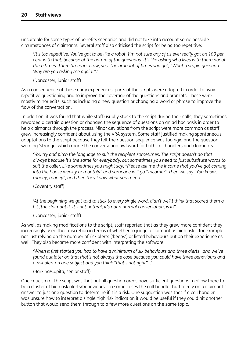unsuitable for some types of benefits scenarios and did not take into account some possible circumstances of claimants. Several staff also criticised the script for being too repetitive:

'It's too repetitive. You've got to be like a robot. I'm not sure any of us ever really got on 100 per *cent with that, because of the nature of the questions. It's like asking who lives with them about three times. Three times in a row, yes. The amount of times you get, "What a stupid question. Why are you asking me again?".'*

(Doncaster, junior staff)

As a consequence of these early experiences, parts of the scripts were adapted in order to avoid repetitive questioning and to improve the coverage of the questions and prompts. These were mostly minor edits, such as including a new question or changing a word or phrase to improve the flow of the conversation.

In addition, it was found that while staff usually stuck to the script during their calls, they sometimes reworded a certain question or changed the sequence of questions on an ad hoc basis in order to help claimants through the process. Minor deviations from the script were more common as staff grew increasingly confident about using the VRA system. Some staff justified making spontaneous adaptations to the script because they felt the question sequence was too rigid and the question wording 'strange' which made the conversation awkward for both call handlers and claimants.

*'You try and pitch the language to suit the recipient sometimes. The script doesn't do that always because it's the same for everybody, but sometimes you need to just substitute words to suit the caller. Like sometimes you might say, "Please tell me the income that you've got coming into the house weekly or monthly" and someone will go "Income?" Then we say "You know, money, money", and then they know what you mean.'*

(Coventry staff)

'At the beginning we got told to stick to every single word, didn't we? I think that scared them a *bit [the claimants]. It's not natural, it's not a normal conversation, is it?'*

(Doncaster, junior staff)

As well as making modifications to the script, staff reported that as they grew more confident they increasingly used their discretion in terms of whether to judge a claimant as high risk – for example, not just relying on the number of risk alerts ('beeps') or listed behaviours but on their experience as well. They also became more confident with interpreting the software:

*'When it first started you had to have a minimum of six behaviours and three alerts…and we've found out later on that that's not always the case because you could have three behaviours and a risk alert on one subject and you think "that's not right"...'*

(Barking/Capita, senior staff)

One criticism of the script was that not all question areas have sufficient questions to allow there to be a cluster of high risk alerts/behaviours – in some cases the call handler had to rely on a claimant's answer to just one question to determine if it is a risk. One suggestion was that if a call handler was unsure how to interpret a single high risk indication it would be useful if they could hit another button that would send them through to a few more questions on the same topic.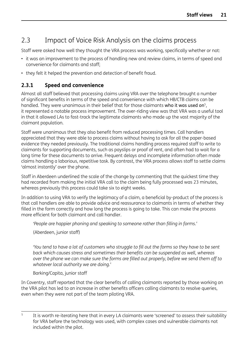## <span id="page-26-0"></span>2.3 Impact of Voice Risk Analysis on the claims process

Staff were asked how well they thought the VRA process was working, specifically whether or not:

- it was an improvement to the process of handling new and review claims, in terms of speed and convenience for claimants and staff;
- they felt it helped the prevention and detection of benefit fraud.

### **2.3.1 Speed and convenience**

Almost all staff believed that processing claims using VRA over the telephone brought a number of significant benefits in terms of the speed and convenience with which HB/CTB claims can be handled. They were unanimous in their belief that for those claimants who it was used on<sup>5</sup>, it represented a notable process improvement. The over-riding view was that VRA was a useful tool in that it allowed LAs to fast-track the legitimate claimants who made up the vast majority of the claimant population.

Staff were unanimous that they also benefit from reduced processing times. Call handlers appreciated that they were able to process claims without having to ask for all the paper-based evidence they needed previously. The traditional claims handling process required staff to write to claimants for supporting documents, such as payslips or proof of rent, and often had to wait for a long time for these documents to arrive. Frequent delays and incomplete information often made claims handling a laborious, repetitive task. By contrast, the VRA process allows staff to settle claims 'almost instantly' over the phone.

Staff in Aberdeen underlined the scale of the change by commenting that the quickest time they had recorded from making the initial VRA call to the claim being fully processed was 23 minutes, whereas previously this process could take six to eight weeks.

In addition to using VRA to verify the legitimacy of a claim, a beneficial by-product of the process is that call handlers are able to provide advice and reassurance to claimants in terms of whether they filled in the form correctly and how long the process is going to take. This can make the process more efficient for both claimant and call handler.

```
'People are happier phoning and speaking to someone rather than filling in forms.'
```
(Aberdeen, junior staff)

'You tend to have a lot of customers who struggle to fill out the forms so they have to be sent *back which causes stress and sometimes their benefits can be suspended as well, whereas* over the phone we can make sure the forms are filled out properly, before we send them off to *whatever local authority we are doing.'*

#### Barking/Capita, junior staff

In Coventry, staff reported that the clear benefits of calling claimants reported by those working on the VRA pilot has led to an increase in other benefits officers calling claimants to resolve queries, even when they were not part of the team piloting VRA.

<sup>&</sup>lt;sup>5</sup> It is worth re-iterating here that in every LA claimants were 'screened' to assess their suitability for VRA before the technology was used, with complex cases and vulnerable claimants not included within the pilot.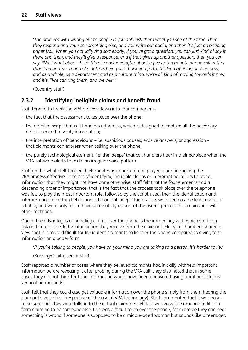<span id="page-27-0"></span>*'The problem with writing out to people is you only ask them what you see at the time. Then they respond and you see something else, and you write out again, and then it's just an ongoing* paper trail. When you actually ring somebody, if you've got a question, you can just kind of say it *there and then, and they'll give a response, and if that gives up another question, then you can* say, "Well what about this?" It's all concluded after about a five or ten minute phone call, rather *than two or three months' of letters being sent back and forth. It's kind of being pushed now,* and as a whole, as a department and as a culture thing, we're all kind of moving towards it now. *and it's, "We can ring them, and we will".'*

(Coventry staff)

### **2.3.2 Identifying ineligible claims and benefit fraud**

Staff tended to break the VRA process down into four components:

- the fact that the assessment takes place over the phone;
- the detailed script that call handlers adhere to, which is designed to capture all the necessary details needed to verify information;
- the interpretation of 'behaviours' i.e. suspicious pauses, evasive answers, or aggression that claimants can express when talking over the phone;
- the purely technological element, i.e. the 'beeps' that call handlers hear in their earpiece when the VRA software alerts them to an irregular voice pattern.

Staff on the whole felt that each element was important and played a part in making the VRA process effective. In terms of identifying ineligible claims or in prompting callers to reveal information that they might not have done otherwise, staff felt that the four elements had a descending order of importance: that is the fact that the process took place over the telephone was felt to play the most important role, followed by the script used, then the identification and interpretation of certain behaviours. The actual 'beeps' themselves were seen as the least useful or reliable, and were only felt to have some utility as part of the overall process in combination with other methods.

One of the advantages of handling claims over the phone is the immediacy with which staff can ask and double check the information they receive from the claimant. Many call handlers shared a view that it is more difficult for fraudulent claimants to lie over the phone compared to giving false information on a paper form.

'If you're talking to people, you have on your mind you are talking to a person, it's harder to lie.'

(Barking/Capita, senior staff)

Staff reported a number of cases where they believed claimants had initially withheld important information before revealing it after probing during the VRA call; they also noted that in some cases they did not think that the information would have been uncovered using traditional claims verification methods.

Staff felt that they could also get valuable information over the phone simply from them hearing the claimant's voice (i.e. irrespective of the use of VRA technology). Staff commented that it was easier to be sure that they were talking to the actual claimants; while it was easy for someone to fill in a form claiming to be someone else, this was difficult to do over the phone, for example they can hear something is wrong if someone is supposed to be a middle-aged woman but sounds like a teenager.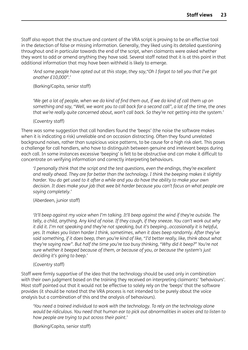Staff also report that the structure and content of the VRA script is proving to be an effective tool in the detection of false or missing information. Generally, they liked using its detailed questioning throughout and in particular towards the end of the script, when claimants were asked whether they want to add or amend anything they have said. Several staff noted that it is at this point in that additional information that may have been withheld is likely to emerge.

'And some people have opted out at this stage, they say, "Oh I forgot to tell you that I've got *another £10,000".'*

(Barking/Capita, senior staff)

'We get a lot of people, when we do kind of find them out, if we do kind of call them up on something and say, "Well, we want you to call back for a second call", a lot of the time, the ones *that we're really quite concerned about, won't call back. So they're not getting into the system.'*

(Coventry staff)

There was some suggestion that call handlers found the 'beeps' (the noise the software makes when it is indicating a risk) unreliable and on occasion distracting. Often they found unrelated background noises, rather than suspicious voice patterns, to be cause for a high risk alert. This poses a challenge for call handlers, who have to distinguish between genuine and irrelevant beeps during each call. In some instances excessive 'beeping' is felt to be obstructive and can make it difficult to concentrate on verifying information and correctly interpreting behaviours.

*'I personally think that the script and the test questions, even the endings, they're excellent and really ahead. They are far better than the technology. I think the beeping makes it slightly* harder. You do get used to it after a while and you do have the ability to make your own *decision. It does make your job that wee bit harder because you can't focus on what people are saying completely.'*

(Aberdeen, junior staff)

*'It'll beep against my voice when I'm talking. It'll beep against the wind if they're outside. The* telly, a child, anything. Any kind of noise. If they cough, if they sneeze. You can't work out why *it did it. I'm not speaking and they're not speaking, but it's beeping…occasionally it is helpful, yes. It makes you listen harder I think, sometimes, when it does beep randomly. After they've* said something, if it does beep, then you're kind of like, "I'd better really, like, think about what *they're saying now". But half the time you're too busy thinking, "Why did it beep?" You're not sure whether it beeped because of them, or because of you, or because the system's just deciding it's going to beep.'*

(Coventry staff)

Staff were firmly supportive of the idea that the technology should be used only in combination with their own judgment based on the training they received on interpreting claimants' 'behaviours'. Most staff pointed out that it would not be effective to solely rely on the 'beeps' that the software provides (it should be noted that the VRA process is not intended to be purely about the voice analysis but a combination of this and the analysis of behaviours).

*'You need a trained individual to work with the technology. To rely on the technology alone would be ridiculous. You need that human ear to pick out abnormalities in voices and to listen to how people are trying to put across their point.'*

(Barking/Capita, senior staff)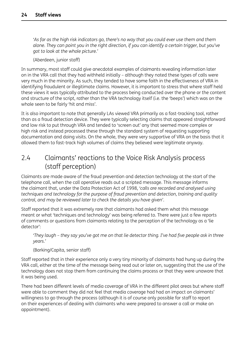<span id="page-29-0"></span>'As far as the high risk indicators go, there's no way that you could ever use them and them alone. They can point you in the right direction, if you can identify a certain trigger, but you've *got to look at the whole picture.'*

(Aberdeen, junior staff)

In summary, most staff could give anecdotal examples of claimants revealing information later on in the VRA call that they had withheld initially – although they noted these types of calls were very much in the minority. As such, they tended to have some faith in the effectiveness of VRA in identifying fraudulent or illegitimate claims. However, it is important to stress that where staff held these views it was typically attributed to the process being conducted over the phone or the content and structure of the script, rather than the VRA technology itself (i.e. the 'beeps') which was on the whole seen to be fairly 'hit and miss'.

It is also important to note that generally LAs viewed VRA primarily as a fast-tracking tool, rather than as a fraud detection device. They were typically selecting claims that appeared straightforward and low risk to put through VRA and tended to 'screen out' any that seemed more complex or high risk and instead processed these through the standard system of requesting supporting documentation and doing visits. On the whole, they were very supportive of VRA on the basis that it allowed them to fast-track high volumes of claims they believed were legitimate anyway.

## 2.4 Claimants' reactions to the Voice Risk Analysis process (staff perception)

Claimants are made aware of the fraud prevention and detection technology at the start of the telephone call, when the call operative reads out a scripted message. This message informs the claimant that, under the Data Protection Act of 1998, *'calls are recorded and analysed using techniques and technology for the purpose of fraud prevention and detection, training and quality control, and may be reviewed later to check the details you have given'*.

Staff reported that it was extremely rare that claimants had asked them what this message meant or what 'techniques and technology' was being referred to. There were just a few reports of comments or questions from claimants relating to the perception of the technology as a 'lie detector':

'They laugh - they say you've got me on that lie detector thing. I've had five people ask in three *years.'*

(Barking/Capita, senior staff)

Staff reported that in their experience only a very tiny minority of claimants had hung up during the VRA call, either at the time of the message being read out or later on, suggesting that the use of the technology does not stop them from continuing the claims process or that they were unaware that it was being used.

There had been different levels of media coverage of VRA in the different pilot areas but where staff were able to comment they did not feel that media coverage had had an impact on claimants' willingness to go through the process (although it is of course only possible for staff to report on their experiences of dealing with claimants who were prepared to answer a call or make an appointment).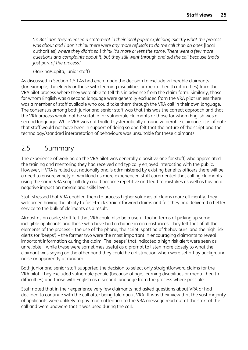<span id="page-30-0"></span>*'In Basildon they released a statement in their local paper explaining exactly what the process was about and I don't think there were any more refusals to do the call than on ones* [local authorities] *where they didn't so I think it's more or less the same. There were a few more questions and complaints about it, but they still went through and did the call because that's just part of the process.'*

(Barking/Capita, junior staff)

As discussed in Section 1.5 LAs had each made the decision to exclude vulnerable claimants (for example, the elderly or those with learning disabilities or mental health difficulties) from the VRA pilot process where they were able to tell this in advance from the claim form. Similarly, those for whom English was a second language were generally excluded from the VRA pilot unless there was a member of staff available who could take them through the VRA call in their own language. The consensus among both junior and senior staff was that this was the correct approach and that the VRA process would not be suitable for vulnerable claimants or those for whom English was a second language. While VRA was not trialled systematically among vulnerable claimants it is of note that staff would not have been in support of doing so and felt that the nature of the script and the technology/standard interpretation of behaviours was unsuitable for these claimants.

## 2.5 Summary

The experience of working on the VRA pilot was generally a positive one for staff, who appreciated the training and mentoring they had received and typically enjoyed interacting with the public. However, if VRA is rolled out nationally and is administered by existing benefits officers there will be a need to ensure variety of workload as more experienced staff commented that calling claimants using the same VRA script all day could become repetitive and lead to mistakes as well as having a negative impact on morale and skills levels.

Staff stressed that VRA enabled them to process higher volumes of claims more efficiently. They welcomed having the ability to fast-track straightforward claims and felt they had delivered a better service to the bulk of claimants as a result.

Almost as an aside, staff felt that VRA could also be a useful tool in terms of picking up some ineligible applicants and those who have had a change in circumstances. They felt that of all the elements of the process – the use of the phone, the script, spotting of 'behaviours' and the high risk alerts (or 'beeps') – the former two were the most important in encouraging claimants to reveal important information during the claim. The 'beeps' that indicated a high risk alert were seen as unreliable – while these were sometimes useful as a prompt to listen more closely to what the claimant was saying on the other hand they could be a distraction when were set off by background noise or apparently at random.

Both junior and senior staff supported the decision to select only straightforward claims for the VRA pilot. They excluded vulnerable people (because of age, learning disabilities or mental health difficulties) and those with English as a second language from the process where possible.

Staff noted that in their experience very few claimants had asked questions about VRA or had declined to continue with the call after being told about VRA. It was their view that the vast majority of applicants were unlikely to pay much attention to the VRA message read out at the start of the call and were unaware that it was used during the call.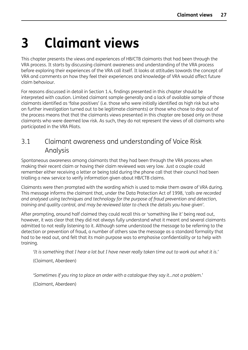# <span id="page-31-0"></span>**3 Claimant views**

This chapter presents the views and experiences of HB/CTB claimants that had been through the VRA process. It starts by discussing claimant awareness and understanding of the VRA process before exploring their experiences of the VRA call itself. It looks at attitudes towards the concept of VRA and comments on how they feel their experiences and knowledge of VRA would affect future claim behaviour.

For reasons discussed in detail in Section 1.4, findings presented in this chapter should be interpreted with caution. Limited claimant sample generally and a lack of available sample of those claimants identified as 'false positives' (i.e. those who were initially identified as high risk but who on further investigation turned out to be legitimate claimants) or those who chose to drop out of the process means that that the claimants views presented in this chapter are based only on those claimants who were deemed low risk. As such, they do not represent the views of all claimants who participated in the VRA Pilots.

## 3.1 Claimant awareness and understanding of Voice Risk Analysis

Spontaneous awareness among claimants that they had been through the VRA process when making their recent claim or having their claim reviewed was very low. Just a couple could remember either receiving a letter or being told during the phone call that their council had been trialling a new service to verify information given about HB/CTB claims.

Claimants were then prompted with the wording which is used to make them aware of VRA during. This message informs the claimant that, under the Data Protection Act of 1998, *'calls are recorded and analysed using techniques and technology for the purpose of fraud prevention and detection, training and quality control, and may be reviewed later to check the details you have given'*.

After prompting, around half claimed they could recall this or 'something like it' being read out, however, it was clear that they did not always fully understand what it meant and several claimants admitted to not really listening to it. Although some understood the message to be referring to the detection or prevention of fraud, a number of others saw the message as a standard formality that had to be read out, and felt that its main purpose was to emphasise confidentiality or to help with training.

'It is something that I hear a lot but I have never really taken time out to work out what it is.'

(Claimant, Aberdeen)

*'Sometimes if you ring to place an order with a catalogue they say it...not a problem.'*

(Claimant, Aberdeen)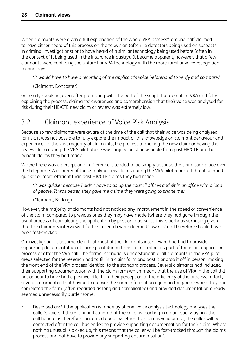<span id="page-32-0"></span>When claimants were given a full explanation of the whole VRA process<sup>6</sup>, around half claimed to have either heard of this process on the television (often lie detectors being used on suspects in criminal investigations) or to have heard of a similar technology being used before (often in the context of it being used in the insurance industry). It became apparent, however, that a few claimants were confusing the unfamiliar VRA technology with the more familiar voice recognition technology:

*'It would have to have a recording of the applicant's voice beforehand to verify and compare.'*

(Claimant, Doncaster)

Generally speaking, even after prompting with the part of the script that described VRA and fully explaining the process, claimants' awareness and comprehension that their voice was analysed for risk during their HB/CTB new claim or review was extremely low.

## 3.2 Claimant experience of Voice Risk Analysis

Because so few claimants were aware at the time of the call that their voice was being analysed for risk, it was not possible to fully explore the impact of this knowledge on claimant behaviour and experience. To the vast majority of claimants, the process of making the new claim or having the review claim during the VRA pilot phase was largely indistinguishable from past HB/CTB or other benefit claims they had made.

Where there was a perception of difference it tended to be simply because the claim took place over the telephone. A minority of those making new claims during the VRA pilot reported that it seemed quicker or more efficient than past HB/CTB claims they had made.

'It was quicker because I didn't have to go up the council offices and sit in an office with a load *of people. It was better, they gave me a time they were going to phone me.'*

(Claimant, Barking)

However, the majority of claimants had not noticed any improvement in the speed or convenience of the claim compared to previous ones they may have made (where they had gone through the usual process of completing the application by post or in person). This is perhaps surprising given that the claimants interviewed for this research were deemed 'low risk' and therefore should have been fast-tracked.

On investigation it became clear that most of the claimants interviewed had had to provide supporting documentation at some point during their claim – either as part of the initial application process or after the VRA call. The former scenario is understandable: all claimants in the VRA pilot areas selected for the research had to fill in a claim form and post it or drop it off in person, making the front end of the VRA process identical to the standard process. Several claimants had included their supporting documentation with the claim form which meant that the use of VRA in the call did not appear to have had a positive effect on their perception of the efficiency of the process. In fact, several commented that having to go over the same information again on the phone when they had completed the form (often regarded as long and complicated) and provided documentation already seemed unnecessarily burdensome.

<sup>6</sup> Described as: 'If the application is made by phone, voice analysis technology analyses the caller's voice. If there is an indication that the caller is reacting in an unusual way and the call handler is therefore concerned about whether the claim is valid or not, the caller will be contacted after the call has ended to provide supporting documentation for their claim. Where nothing unusual is picked up, this means that the caller will be fast-tracked through the claims process and not have to provide any supporting documentation'.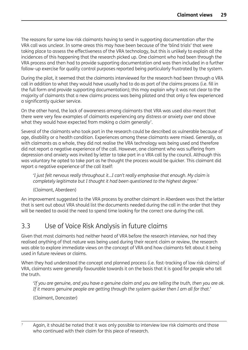<span id="page-33-0"></span>The reasons for some low risk claimants having to send in supporting documentation after the VRA call was unclear. In some areas this may have been because of the 'blind trials' that were taking place to assess the effectiveness of the VRA technology, but this is unlikely to explain all the incidences of this happening that the research picked up. One claimant who had been through the VRA process and then had to provide supporting documentation and was then included in a further follow-up exercise for quality control purposes reported being particularly frustrated by the system.

During the pilot, it seemed that the claimants interviewed for the research had been through a VRA call in addition to what they would have usually had to do as part of the claims process (i.e. fill in the full form and provide supporting documentation); this may explain why it was not clear to the majority of claimants that a new claims process was being piloted and that only a few experienced a significantly quicker service.

On the other hand, the lack of awareness among claimants that VRA was used also meant that there were very few examples of claimants experiencing any distress or anxiety over and above what they would have expected from making a claim generally<sup>7</sup>.

Several of the claimants who took part in the research could be described as vulnerable because of age, disability or a health condition. Experiences among these claimants were mixed. Generally, as with claimants as a whole, they did not realise the VRA technology was being used and therefore did not report a negative experience of the call. However, one claimant who was suffering from depression and anxiety was invited by letter to take part in a VRA call by the council. Although this was voluntary he opted to take part as he thought the process would be quicker. This claimant did report a negative experience of the call itself:

*'I just felt nervous really throughout it...I can't really emphasise that enough. My claim is completely legitimate but I thought it had been questioned to the highest degree.'*

#### (Claimant, Aberdeen)

An improvement suggested to the VRA process by another claimant in Aberdeen was that the letter that is sent out about VRA should list the documents needed during the call in the order that they will be needed to avoid the need to spend time looking for the correct one during the call.

## 3.3 Use of Voice Risk Analysis in future claims

Given that most claimants had neither heard of VRA before the research interview, nor had they realised anything of that nature was being used during their recent claim or review, the research was able to explore immediate views on the concept of VRA and how claimants felt about it being used in future reviews or claims.

When they had understood the concept and planned process (i.e. fast-tracking of low risk claims) of VRA, claimants were generally favourable towards it on the basis that it is good for people who tell the truth.

'If you are genuine, and you have a genuine claim and you are telling the truth, then you are ok. *If it means genuine people are getting through the system quicker then I am all for that.'*

(Claimant, Doncaster)

Again, it should be noted that it was only possible to interview low risk claimants and those who continued with their claim for this piece of research.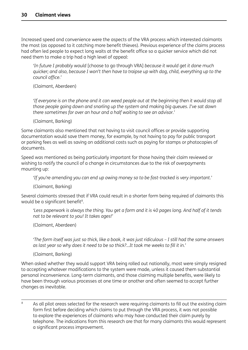Increased speed and convenience were the aspects of the VRA process which interested claimants the most (as opposed to it catching more benefit thieves). Previous experience of the claims process had often led people to expect long waits at the benefit office so a quicker service which did not need them to make a trip had a high level of appeal:

*'In future I probably would* [choose to go through VRA] *because it would get it done much quicker; and also, because I won't then have to traipse up with dog, child, everything up to the council office.'*

(Claimant, Aberdeen)

'If everyone is on the phone and it can weed people out at the beginning then it would stop all *those people going down and snarling up the system and making big queues. I've sat down there sometimes for over an hour and a half waiting to see an advisor.'*

(Claimant, Barking)

Some claimants also mentioned that not having to visit council offices or provide supporting documentation would save them money, for example, by not having to pay for public transport or parking fees as well as saving on additional costs such as paying for stamps or photocopies of documents.

Speed was mentioned as being particularly important for those having their claim reviewed or wishing to notify the council of a change in circumstances due to the risk of overpayments mounting up:

*'If you're amending you can end up owing money so to be fast-tracked is very important.'*

(Claimant, Barking)

Several claimants stressed that if VRA could result in a shorter form being required of claimants this would be a significant benefit<sup>8</sup>.

'Less paperwork is always the thing. You get a form and it is 40 pages long. And half of it tends *not to be relevant to you! It takes ages!'*

(Claimant, Aberdeen)

'The form itself was just so thick, like a book, it was just ridiculous - I still had the same answers *as last year so why does it need to be so thick?…It took me weeks to fill it in.'*

(Claimant, Barking)

When asked whether they would support VRA being rolled out nationally, most were simply resigned to accepting whatever modifications to the system were made, unless it caused them substantial personal inconvenience. Long-term claimants, and those claiming multiple benefits, were likely to have been through various processes at one time or another and often seemed to accept further changes as inevitable.

8 As all pilot areas selected for the research were requiring claimants to fill out the existing claim form first before deciding which claims to put through the VRA process, it was not possible to explore the experiences of claimants who may have conducted their claim purely by telephone. The indications from this research are that for many claimants this would represent a significant process improvement.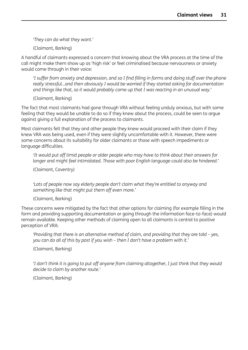*'They can do what they want.'*

(Claimant, Barking)

A handful of claimants expressed a concern that knowing about the VRA process at the time of the call might make them show up as 'high risk' or feel criminalised because nervousness or anxiety would come through in their voice:

I suffer from anxiety and depression, and so I find filling in forms and doing stuff over the phone *really stressful…and then obviously I would be worried if they started asking for documentation and things like that, so it would probably come up that I was reacting in an unusual way.'*

(Claimant, Barking)

The fact that most claimants had gone through VRA without feeling unduly anxious, but with some feeling that they would be unable to do so if they knew about the process, could be seen to argue against giving a full explanation of the process to claimants.

Most claimants felt that they and other people they knew would proceed with their claim if they knew VRA was being used, even if they were slightly uncomfortable with it. However, there were some concerns about its suitability for older claimants or those with speech impediments or language difficulties.

*'It would put off timid people or older people who may have to think about their answers for longer and might feel intimidated. Those with poor English language could also be hindered.'*

(Claimant, Coventry)

*'Lots of people now say elderly people don't claim what they're entitled to anyway and something like that might put them off even more.'*

(Claimant, Barking)

These concerns were mitigated by the fact that other options for claiming (for example filling in the form and providing supporting documentation or going through the information face-to-face) would remain available. Keeping other methods of claiming open to all claimants is central to positive perception of VRA:

*'Providing that there is an alternative method of claim, and providing that they are told – yes, you can do all of this by post if you wish – then I don't have a problem with it.'*

(Claimant, Barking)

'I don't think it is going to put off anyone from claiming altogether, I just think that they would *decide to claim by another route.'*

(Claimant, Barking)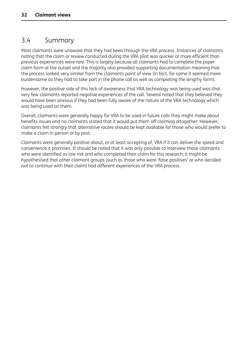## <span id="page-36-0"></span>3.4 Summary

Most claimants were unaware that they had been through the VRA process. Instances of claimants noting that the claim or review conducted during the VRA pilot was quicker or more efficient than previous experiences were rare. This is largely because all claimants had to complete the paper claim form at the outset and the majority also provided supporting documentation meaning that the process looked very similar from the claimants point of view (in fact, for some it seemed more burdensome as they had to take part in the phone call as well as completing the lengthy form).

However, the positive side of this lack of awareness that VRA technology was being used was that very few claimants reported negative experiences of the call. Several noted that they believed they would have been anxious if they had been fully aware of the nature of the VRA technology which was being used on them.

Overall, claimants were generally happy for VRA to be used in future calls they might make about benefits issues and no claimants stated that it would put them off claiming altogether. However, claimants felt strongly that alternative routes should be kept available for those who would prefer to make a claim in person or by post.

Claimants were generally positive about, or at least accepting of, VRA if it can deliver the speed and convenience it promises. It should be noted that it was only possible to interview those claimants who were identified as low risk and who completed their claim for this research; it might be hypothesised that other claimant groups (such as those who were 'false positives' or who decided not to continue with their claim) had different experiences of the VRA process.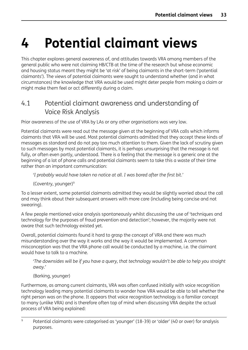# <span id="page-37-0"></span>**4 Potential claimant views**

This chapter explores general awareness of, and attitudes towards VRA among members of the general public who were not claiming HB/CTB at the time of the research but whose economic and housing status meant they might be 'at risk' of being claimants in the short-term ('potential claimants'). The views of potential claimants were sought to understand whether (and in what circumstances) the knowledge that VRA would be used might deter people from making a claim or might make them feel or act differently during a claim.

## 4.1 Potential claimant awareness and understanding of Voice Risk Analysis

Prior awareness of the use of VRA by LAs or any other organisations was very low.

Potential claimants were read out the message given at the beginning of VRA calls which informs claimants that VRA will be used. Most potential claimants admitted that they accept these kinds of messages as standard and do not pay too much attention to them. Given the lack of scrutiny given to such messages by most potential claimants, it is perhaps unsurprising that the message is not fully, or often even partly, understood. There is a feeling that the message is a generic one at the beginning of a lot of phone calls and potential claimants seem to take this a waste of their time rather than an important communication:

*'I probably would have taken no notice at all. I was bored after the first bit.'*

(Coventry, younger)9

To a lesser extent, some potential claimants admitted they would be slightly worried about the call and may think about their subsequent answers with more care (including being concise and not swearing).

A few people mentioned voice analysis spontaneously whilst discussing the use of 'techniques and technology for the purposes of fraud prevention and detection'; however, the majority were not aware that such technology existed yet.

Overall, potential claimants found it hard to grasp the concept of VRA and there was much misunderstanding over the way it works and the way it would be implemented. A common misconception was that the VRA phone call would be conducted by a machine, i.e. the claimant would have to talk to a machine.

*'The downsides will be if you have a query, that technology wouldn't be able to help you straight away.'*

(Barking, younger)

Furthermore, as among current claimants, VRA was often confused initially with voice recognition technology leading many potential claimants to wonder how VRA would be able to tell whether the right person was on the phone. It appears that voice recognition technology is a familiar concept to many (unlike VRA) and is therefore often top of mind when discussing VRA despite the actual process of VRA being explained:

<sup>9</sup> Potential claimants were categorised as 'younger' (18-39) or 'older' (40 or over) for analysis purposes.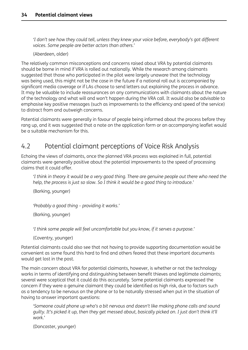<span id="page-38-0"></span>*'I don't see how they could tell, unless they knew your voice before, everybody's got different voices. Some people are better actors than others.'*

(Aberdeen, older)

The relatively common misconceptions and concerns raised about VRA by potential claimants should be borne in mind if VRA is rolled out nationally. While the research among claimants suggested that those who participated in the pilot were largely unaware that the technology was being used, this might not be the case in the future if a national roll out is accompanied by significant media coverage or if LAs choose to send letters out explaining the process in advance. It may be valuable to include reassurances on any communications with claimants about the nature of the technology and what will and won't happen during the VRA call. It would also be advisable to emphasise key positive messages (such as improvements to the efficiency and speed of the service) to distract from and outweigh concerns.

Potential claimants were generally in favour of people being informed about the process before they rang up, and it was suggested that a note on the application form or an accompanying leaflet would be a suitable mechanism for this.

## 4.2 Potential claimant perceptions of Voice Risk Analysis

Echoing the views of claimants, once the planned VRA process was explained in full, potential claimants were generally positive about the potential improvements to the speed of processing claims that it could offer.

'I think in theory it would be a very good thing. There are genuine people out there who need the *help, the process is just so slow. So I think it would be a good thing to introduce.'*

(Barking, younger)

*'Probably a good thing – providing it works.'*

(Barking, younger)

*'I think some people will feel uncomfortable but you know, if it serves a purpose.'*

(Coventry, younger)

Potential claimants could also see that not having to provide supporting documentation would be convenient as some found this hard to find and others feared that these important documents would get lost in the post.

The main concern about VRA for potential claimants, however, is whether or not the technology works in terms of identifying and distinguishing between benefit thieves and legitimate claimants; several were sceptical that it could do this accurately. Some potential claimants expressed the concern if they were a genuine claimant they could be identified as high risk, due to factors such as a tendency to be nervous on the phone or to be naturally stressed when put in the situation of having to answer important questions:

*'Someone could phone up who's a bit nervous and doesn't like making phone calls and sound* quilty. It's picked it up, then they get messed about, basically picked on. I just don't think it'll *work.'*

(Doncaster, younger)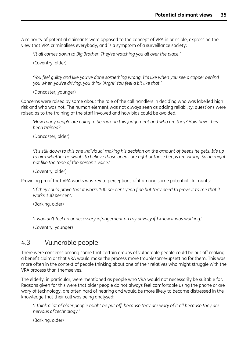<span id="page-39-0"></span>A minority of potential claimants were opposed to the concept of VRA in principle, expressing the view that VRA criminalises everybody, and is a symptom of a surveillance society:

*'It all comes down to Big Brother. They're watching you all over the place.'*

(Coventry, older)

*'You feel guilty and like you've done something wrong. It's like when you see a copper behind you when you're driving, you think 'Argh!' You feel a bit like that.'*

(Doncaster, younger)

Concerns were raised by some about the role of the call handlers in deciding who was labelled high risk and who was not. The human element was not always seen as adding reliability: questions were raised as to the training of the staff involved and how bias could be avoided.

*'How many people are going to be making this judgement and who are they? How have they been trained?'*

(Doncaster, older)

It's still down to this one individual making his decision on the amount of beeps he gets. It's up' to him whether he wants to believe those beeps are right or those beeps are wrong. So he might *not like the tone of the person's voice.'*

(Coventry, older)

Providing proof that VRA works was key to perceptions of it among some potential claimants:

'If they could prove that it works 100 per cent yeah fine but they need to prove it to me that it *works 100 per cent.'*

(Barking, older)

*'I wouldn't feel an unnecessary infringement on my privacy if I knew it was working.'*

(Coventry, younger)

## 4.3 Vulnerable people

There were concerns among some that certain groups of vulnerable people could be put off making a benefit claim or that VRA would make the process more troublesome/upsetting for them. This was more often in the context of people thinking about one of their relatives who might struggle with the VRA process than themselves.

The elderly, in particular, were mentioned as people who VRA would not necessarily be suitable for. Reasons given for this were that older people do not always feel comfortable using the phone or are wary of technology, are often hard of hearing and would be more likely to become distressed in the knowledge that their call was being analysed:

'I think a lot of older people might be put off, because they are wary of it all because they are *nervous of technology.'*

(Barking, older)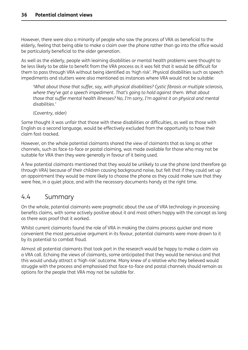<span id="page-40-0"></span>However, there were also a minority of people who saw the process of VRA as beneficial to the elderly, feeling that being able to make a claim over the phone rather than go into the office would be particularly beneficial to the older generation.

As well as the elderly, people with learning disabilities or mental health problems were thought to be less likely to be able to benefit from the VRA process as it was felt that it would be difficult for them to pass through VRA without being identified as 'high risk'. Physical disabilities such as speech impediments and stutters were also mentioned as instances where VRA would not be suitable:

*'What about those that suffer, say, with physical disabilities? Cystic fibrosis or multiple sclerosis, where they've got a speech impediment. That's going to hold against them. What about those that suffer mental health illnesses? No, I'm sorry, I'm against it on physical and mental disabilities.'*

(Coventry, older)

Some thought it was unfair that those with these disabilities or difficulties, as well as those with English as a second language, would be effectively excluded from the opportunity to have their claim fast-tracked.

However, on the whole potential claimants shared the view of claimants that as long as other channels, such as face-to-face or postal claiming, was made available for those who may not be suitable for VRA then they were generally in favour of it being used.

A few potential claimants mentioned that they would be unlikely to use the phone (and therefore go through VRA) because of their children causing background noise, but felt that if they could set up an appointment they would be more likely to choose the phone as they could make sure that they were free, in a quiet place, and with the necessary documents handy at the right time.

## 4.4 Summary

On the whole, potential claimants were pragmatic about the use of VRA technology in processing benefits claims, with some actively positive about it and most others happy with the concept as long as there was proof that it worked.

Whilst current claimants found the role of VRA in making the claims process quicker and more convenient the most persuasive argument in its favour, potential claimants were more drawn to it by its potential to combat fraud.

Almost all potential claimants that took part in the research would be happy to make a claim via a VRA call. Echoing the views of claimants, some anticipated that they would be nervous and that this would unduly attract a 'high risk' outcome. Many knew of a relative who they believed would struggle with the process and emphasised that face-to-face and postal channels should remain as options for the people that VRA may not be suitable for.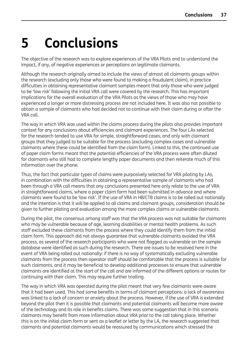# <span id="page-41-0"></span>**5 Conclusions**

The objective of the research was to explore experiences of the VRA Pilots and to understand the impact, if any, of negative experiences or perceptions on legitimate claimants.

Although the research originally aimed to include the views of almost all claimants groups within the research (excluding only those who were found to making a fraudulent claim), in practice difficulties in obtaining representative claimant samples meant that only those who were judged to be 'low risk' following the initial VRA call were covered by the research. This has important implications for the overall evaluation of the VRA Pilots as the views of those who may have experienced a longer or more distressing process are not included here. It was also not possible to obtain a sample of claimants who had decided not to continue with their claim during or after the VRA call.

The way in which VRA was used within the claims process during the pilots also provides important context for any conclusions about efficiencies and claimant experiences. The four LAs selected for the research tended to use VRA for simple, straightforward cases, and only with claimant groups that they judged to be suitable for the process (excluding complex cases and vulnerable claimants where these could be identified from the claim form). Linked to this, the continued use of paper claim forms meant that the potential efficiencies of the VRA process were often diluted for claimants who still had to complete lengthy paper documents and then reiterate much of this information over the phone.

Thus, the fact that particular types of claims were purposively selected for VRA piloting by LAs, in combination with the difficulties in obtaining a representative sample of claimants who had been through a VRA call means that any conclusions presented here only relate to the use of VRA in straightforward claims, where a paper claim form had been submitted in advance and where claimants were found to be 'low risk'. If the use of VRA in HB/CTB claims is to be rolled out nationally and the intention is that it will be applied to all claims and claimant groups, consideration should be given to further piloting and evaluation among the more complex claims or vulnerable claimants.

During the pilot, the consensus among staff was that the VRA process was not suitable for claimants who may be vulnerable because of age, learning disabilities or mental health problems. As such staff excluded these claimants from the process where they could identify them from the initial claim form. This approach did not always guarantee that vulnerable claimants avoided the VRA process, as several of the research participants who were not flagged as vulnerable on the sample database were identified as such during the research. There are issues to be resolved here in the event of VRA being rolled out nationally: if there is no way of systematically excluding vulnerable claimants from the process then operator staff should be comfortable that the process is suitable for such claimants, and it may be beneficial to develop additional processes to ensure that vulnerable claimants are identified at the start of the call and are informed of the different options or routes for continuing with their claim. This may require further trialling.

The way in which VRA was operated during the pilot meant that very few claimants were aware that it had been used. This had some benefits in terms of claimant perceptions: a lack of awareness was linked to a lack of concern or anxiety about the process. However, if the use of VRA is extended beyond the pilot then it is possible that claimants and potential claimants will become more aware of the technology and its role in benefits claims. There was some suggestion that in this scenario claimants may benefit from more information about VRA prior to the call taking place. Whether this is on the initial claim form or sent as a leaflet or letter by the LA, the research suggested that claimants and potential claimants would be reassured by communications which stressed the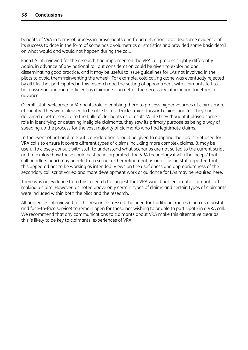benefits of VRA in terms of process improvements and fraud detection, provided some evidence of its success to date in the form of some basic volumetrics or statistics and provided some basic detail on what would and would not happen during the call.

Each LA interviewed for the research had implemented the VRA call process slightly differently. Again, in advance of any national roll out consideration could be given to exploring and disseminating good practice, and it may be useful to issue guidelines for LAs not involved in the pilots to avoid them 'reinventing the wheel'. For example, cold calling alone was eventually rejected by all LAs that participated in this research and the setting of appointment with claimants felt to be reassuring and more efficient as claimants can get all the necessary information together in advance.

Overall, staff welcomed VRA and its role in enabling them to process higher volumes of claims more efficiently. They were pleased to be able to fast-track straightforward claims and felt they had delivered a better service to the bulk of claimants as a result. While they thought it played some role in identifying or deterring ineligible claimants, they saw its primary purpose as being a way of speeding up the process for the vast majority of claimants who had legitimate claims.

In the event of national roll-out, consideration should be given to adapting the core script used for VRA calls to ensure it covers different types of claims including more complex claims. It may be useful to closely consult with staff to understand what scenarios are not suited to the current script and to explore how these could best be incorporated. The VRA technology itself (the 'beeps' that call handlers hear) may benefit from some further refinement as on occasion staff reported that this appeared not to be working as intended. Views on the usefulness and appropriateness of the secondary call script varied and more development work or guidance for LAs may be required here.

There was no evidence from this research to suggest that VRA would put legitimate claimants off making a claim. However, as noted above only certain types of claims and certain types of claimants were included within both the pilot and the research.

All audiences interviewed for this research stressed the need for traditional routes (such as a postal and face-to-face service) to remain open for those not wishing to or able to participate in a VRA call. We recommend that any communications to claimants about VRA make this alternative clear as this is likely to be key to claimants' experiences of VRA.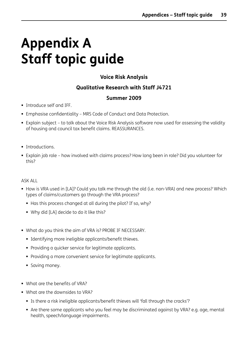# <span id="page-43-0"></span>**Appendix A Staff topic guide**

### **Voice Risk Analysis**

### **Qualitative Research with Staff J4721**

#### **Summer 2009**

- Introduce self and IFF.
- Emphasise confidentiality MRS Code of Conduct and Data Protection.
- Explain subject to talk about the Voice Risk Analysis software now used for assessing the validity of housing and council tax benefit claims. REASSURANCES.
- **Introductions.**
- Explain job role how involved with claims process? How long been in role? Did you volunteer for this?

#### ASK ALL

- How is VRA used in [LA]? Could you talk me through the old (i.e. non-VRA) and new process? Which types of claims/customers go through the VRA process?
	- Has this process changed at all during the pilot? If so, why?
	- Why did [LA] decide to do it like this?
- What do you think the aim of VRA is? PROBE IF NECESSARY.
	- **Identifying more ineligible applicants/benefit thieves.**
	- Providing a quicker service for legitimate applicants.
	- **Providing a more convenient service for legitimate applicants.**
	- **Saving money.**
- What are the benefits of VRA?
- What are the downsides to VRA?
	- Is there a risk ineligible applicants/benefit thieves will 'fall through the cracks'?
	- Are there some applicants who you feel may be discriminated against by VRA? e.g. age, mental health, speech/language impairments.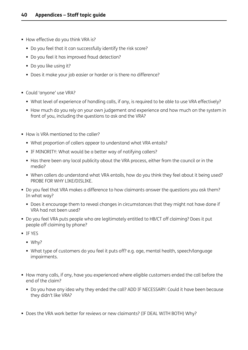- How effective do you think VRA is?
	- Do you feel that it can successfully identify the risk score?
	- Do you feel it has improved fraud detection?
	- Do you like using it?
	- Does it make your job easier or harder or is there no difference?
- Could 'anyone' use VRA?
	- What level of experience of handling calls, if any, is required to be able to use VRA effectively?
	- How much do you rely on your own judgement and experience and how much on the system in front of you, including the questions to ask and the VRA?
- How is VRA mentioned to the caller?
	- What proportion of callers appear to understand what VRA entails?
	- IF MINORITY: What would be a better way of notifying callers?
	- Has there been any local publicity about the VRA process, either from the council or in the media?
	- When callers do understand what VRA entails, how do you think they feel about it being used? PROBE FOR WHY LIKE/DISLIKE.
- Do you feel that VRA makes a difference to how claimants answer the questions you ask them? In what way?
	- Does it encourage them to reveal changes in circumstances that they might not have done if VRA had not been used?
- Do you feel VRA puts people who are legitimately entitled to HB/CT off claiming? Does it put people off claiming by phone?
- **IF YES** 
	- Why?
	- What type of customers do you feel it puts off? e.g. age, mental health, speech/language impairments.
- How many calls, if any, have you experienced where eligible customers ended the call before the end of the claim?
	- Do you have any idea why they ended the call? ADD IF NECESSARY: Could it have been because they didn't like VRA?
- Does the VRA work better for reviews or new claimants? (IF DEAL WITH BOTH) Why?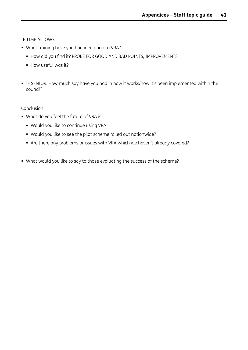IF TIME ALLOWS

- What training have you had in relation to VRA?
	- $\blacksquare$  How did you find it? PROBE FOR GOOD AND BAD POINTS, IMPROVEMENTS
	- How useful was it?
- IF SENIOR: How much say have you had in how it works/how it's been implemented within the council?

Conclusion

- What do you feel the future of VRA is?
	- Would you like to continue using VRA?
	- Would you like to see the pilot scheme rolled out nationwide?
	- Are there any problems or issues with VRA which we haven't already covered?
- What would you like to say to those evaluating the success of the scheme?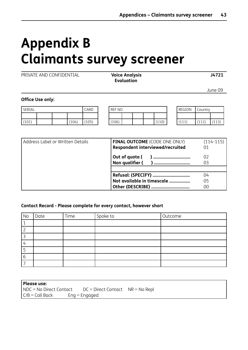# <span id="page-46-0"></span>**Appendix B Claimants survey screener**

PRIVATE AND CONFIDENTIAL **Voice Analysis J4721**

 **Evaluation**

June 09

**Office Use only:**

| SERIAL |  |       | CARD  | <b>REF NO</b> |  |  | REGION |       |  |                 | Country      |       |
|--------|--|-------|-------|---------------|--|--|--------|-------|--|-----------------|--------------|-------|
|        |  |       |       |               |  |  |        |       |  |                 |              |       |
| (101)  |  | (104) | (105) | (106)         |  |  |        | (110) |  | 1111<br>, + + + | (117)<br>ᅶᅶᄼ | (113) |

|       | REGION | Country |  |
|-------|--------|---------|--|
|       |        |         |  |
| l 10) | (111)  | (112)   |  |

| Address Label or Written Details | <b>FINAL OUTCOME</b> (CODE ONE ONLY)<br>Respondent interviewed/recruited | $(114 - 115)$<br>01 |
|----------------------------------|--------------------------------------------------------------------------|---------------------|
|                                  | Out of quota (<br>Non qualifier (                                        | 02                  |
|                                  | Not available in timescale                                               | 04<br>05<br>იი      |

#### **Contact Record - Please complete for every contact, however short**

| No | Date | Time | Spoke to | Outcome |
|----|------|------|----------|---------|
|    |      |      |          |         |
|    |      |      |          |         |
|    |      |      |          |         |
|    |      |      |          |         |
|    |      |      |          |         |
| о  |      |      |          |         |
|    |      |      |          |         |

| Please use:             |                                      |  |  |  |  |  |
|-------------------------|--------------------------------------|--|--|--|--|--|
| NDC = No Direct Contact | $DC = Direct Contact$ $NR = No Repl$ |  |  |  |  |  |
| $C/B =$ Call Back       | $Enq = Engaged$                      |  |  |  |  |  |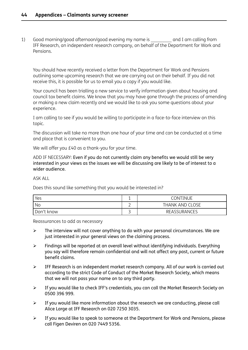1) Good morning/good afternoon/good evening my name is and I am calling from IFF Research, an independent research company, on behalf of the Department for Work and Pensions.

You should have recently received a letter from the Department for Work and Pensions outlining some upcoming research that we are carrying out on their behalf. If you did not receive this, it is possible for us to email you a copy if you would like.

Your council has been trialling a new service to verify information given about housing and council tax benefit claims. We know that you may have gone through the process of amending or making a new claim recently and we would like to ask you some questions about your experience.

I am calling to see if you would be willing to participate in a face-to-face interview on this topic.

The discussion will take no more than one hour of your time and can be conducted at a time and place that is convenient to you.

We will offer you £40 as a thank-you for your time.

ADD IF NECESSARY: Even if you do not currently claim any benefits we would still be very interested in your views as the issues we will be discussing are likely to be of interest to a wider audience.

ASK ALL

Does this sound like something that you would be interested in?

| Yes        | <b>.</b>              | <b>CONTINUE</b>        |
|------------|-----------------------|------------------------|
| No         |                       | <b>THANK AND CLOSE</b> |
| Don't know | $\tilde{\phantom{a}}$ | <b>REASSURANCES</b>    |

Reassurances to add as necessary

- $\triangleright$  The interview will not cover anything to do with your personal circumstances. We are just interested in your general views on the claiming process.
- $\triangleright$  Findings will be reported at an overall level without identifying individuals. Everything you say will therefore remain confidential and will not affect any past, current or future benefit claims.
- $\triangleright$  IFF Research is an independent market research company. All of our work is carried out according to the strict Code of Conduct of the Market Research Society, which means that we will not pass your name on to any third party.
- If you would like to check IFF's credentials, you can call the Market Research Society on 0500 396 999.
- $\triangleright$  If you would like more information about the research we are conducting, please call Alice Large at IFF Research on 020 7250 3035.
- $\triangleright$  If you would like to speak to someone at the Department for Work and Pensions, please call Figen Deviren on 020 7449 5356.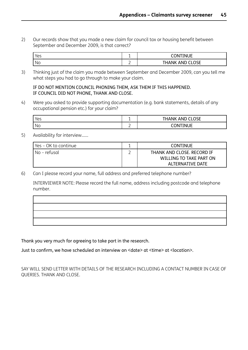2) Our records show that you made a new claim for council tax or housing benefit between September and December 2009, is that correct?

| 'es | -      | CONTINUE<br>- 11            |
|-----|--------|-----------------------------|
| No  | -<br>_ | $C1$ $C1$<br><br>ΛN.<br>∟ט. |

3) Thinking just of the claim you made between September and December 2009, can you tell me what steps you had to go through to make your claim.

#### IF DO NOT MENTION COUNCIL PHONING THEM, ASK THEM IF THIS HAPPENED. IF COUNCIL DID NOT PHONE, THANK AND CLOSE.

4) Were you asked to provide supporting documentation (e.g. bank statements, details of any occupational pension etc.) for your claim?

| 'Yes |          | ABID CLOCF<br>ΔN.<br>ANK<br>ΠН.<br><b>ULUJE</b> |
|------|----------|-------------------------------------------------|
| ' No | <u>_</u> | .<br>mм.<br>INII IE                             |

5) Availability for interview……

| Yes - OK to continue | <b>CONTINUE</b>                                       |
|----------------------|-------------------------------------------------------|
| l No – refusal       | THANK AND CLOSE. RECORD IF<br>WILLING TO TAKE PART ON |
|                      | ALTERNATIVE DATE                                      |

6) Can I please record your name, full address and preferred telephone number?

INTERVIEWER NOTE: Please record the full name, address including postcode and telephone number.

Thank you very much for agreeing to take part in the research.

Just to confirm, we have scheduled an interview on <date> at <time> at <location>.

SAY WILL SEND LETTER WITH DETAILS OF THE RESEARCH INCLUDING A CONTACT NUMBER IN CASE OF QUERIES. THANK AND CLOSE.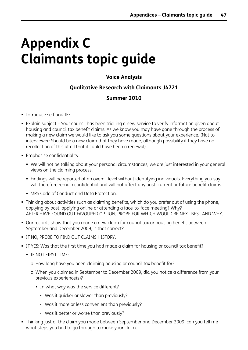# <span id="page-49-0"></span>**Appendix C Claimants topic guide**

### **Voice Analysis**

#### **Qualitative Research with Claimants J4721**

#### **Summer 2010**

- Introduce self and IFF.
- Explain subject Your council has been trialling a new service to verify information given about housing and council tax benefit claims. As we know you may have gone through the process of making a new claim we would like to ask you some questions about your experience. (Not to interviewer: Should be a new claim that they have made, although possibility if they have no recollection of this at all that it could have been a renewal).
- **Emphasise confidentiality.** 
	- We will not be talking about your personal circumstances, we are just interested in your general views on the claiming process.
	- Findings will be reported at an overall level without identifying individuals. Everything you say will therefore remain confidential and will not affect any past, current or future benefit claims.
	- MRS Code of Conduct and Data Protection.
- Thinking about activities such as claiming benefits, which do you prefer out of using the phone, applying by post, applying online or attending a face-to-face meeting? Why? AFTER HAVE FOUND OUT FAVOURED OPTION, PROBE FOR WHICH WOULD BE NEXT BEST AND WHY.
- Our records show that you made a new claim for council tax or housing benefit between September and December 2009, is that correct?
- **IF NO, PROBE TO FIND OUT CLAIMS HISTORY.**
- IF YES: Was that the first time you had made a claim for housing or council tax benefit?
	- **IF NOT FIRST TIME:** 
		- o How long have you been claiming housing or council tax benefit for?
		- o When you claimed in September to December 2009, did you notice a difference from your previous experience(s)?
			- In what way was the service different?
				- Was it quicker or slower than previously?
				- Was it more or less convenient than previously?
				- Was it better or worse than previously?
- Thinking just of the claim you made between September and December 2009, can you tell me what steps you had to go through to make your claim.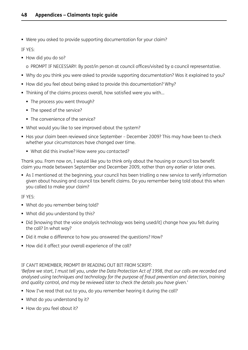Were you asked to provide supporting documentation for your claim?

IF YES:

- How did you do so?
	- o PROMPT IF NECESSARY: By post/in person at council offices/visited by a council representative.
- Why do you think you were asked to provide supporting documentation? Was it explained to you?
- How did you feel about being asked to provide this documentation? Why?
- Thinking of the claims process overall, how satisfied were you with...
	- The process you went through?
	- The speed of the service?
	- The convenience of the service?
- What would you like to see improved about the system?
- Has your claim been reviewed since September December 2009? This may have been to check whether your circumstances have changed over time.
	- What did this involve? How were you contacted?

Thank you. From now on, I would like you to think only about the housing or council tax benefit claim you made between September and December 2009, rather than any earlier or later ones.

 As I mentioned at the beginning, your council has been trialling a new service to verify information given about housing and council tax benefit claims. Do you remember being told about this when you called to make your claim?

IF YES:

- What do you remember being told?
- What did you understand by this?
- Did [knowing that the voice analysis technology was being used/it] change how you felt during the call? In what way?
- Did it make a difference to how you answered the questions? How?
- How did it affect your overall experience of the call?

#### IF CAN'T REMEMBER, PROMPT BY READING OUT BIT FROM SCRIPT:

'Before we start, I must tell you, under the Data Protection Act of 1998, that our calls are recorded and *analysed using techniques and technology for the purpose of fraud prevention and detection, training and quality control, and may be reviewed later to check the details you have given.'*

- Now I've read that out to you, do you remember hearing it during the call?
- What do you understand by it?
- How do you feel about it?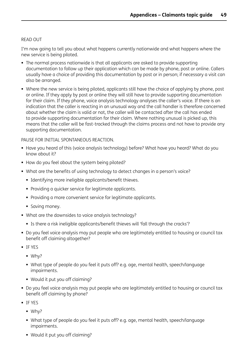#### READ OUT

I'm now going to tell you about what happens currently nationwide and what happens where the new service is being piloted.

- The normal process nationwide is that all applicants are asked to provide supporting documentation to follow up their application which can be made by phone, post or online. Callers usually have a choice of providing this documentation by post or in person; if necessary a visit can also be arranged.
- Where the new service is being piloted, applicants still have the choice of applying by phone, post or online. If they apply by post or online they will still have to provide supporting documentation for their claim. If they phone, voice analysis technology analyses the caller's voice. If there is an indication that the caller is reacting in an unusual way and the call handler is therefore concerned about whether the claim is valid or not, the caller will be contacted after the call has ended to provide supporting documentation for their claim. Where nothing unusual is picked up, this means that the caller will be fast-tracked through the claims process and not have to provide any supporting documentation.

PAUSE FOR INITIAL SPONTANEOUS REACTION.

- Have you heard of this (voice analysis technology) before? What have you heard? What do you know about it?
- How do you feel about the system being piloted?
- What are the benefits of using technology to detect changes in a person's voice?
	- **Identifying more ineligible applicants/benefit thieves.**
	- **Providing a quicker service for legitimate applicants.**
	- **Providing a more convenient service for legitimate applicants.**
	- **Saving money.**
- What are the downsides to voice analysis technology?
	- Is there a risk ineligible applicants/benefit thieves will 'fall through the cracks'?
- Do you feel voice analysis may put people who are legitimately entitled to housing or council tax benefit off claiming altogether?
- IF YES
	- $W$ hy?
	- What type of people do you feel it puts off? e.g. age, mental health, speech/language impairments.
	- Would it put you off claiming?
- Do you feel voice analysis may put people who are legitimately entitled to housing or council tax benefit off claiming by phone?
- **IF YES** 
	- Why?
	- What type of people do you feel it puts off? e.g. age, mental health, speech/language impairments.
	- Would it put you off claiming?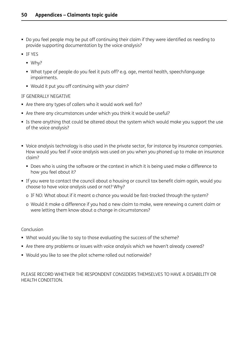- Do you feel people may be put off continuing their claim if they were identified as needing to provide supporting documentation by the voice analysis?
- IF YES
	- Why?
	- What type of people do you feel it puts off? e.g. age, mental health, speech/language impairments.
	- Would it put you off continuing with your claim?

#### IF GENERALLY NEGATIVE

- Are there any types of callers who it would work well for?
- Are there any circumstances under which you think it would be useful?
- Is there anything that could be altered about the system which would make you support the use of the voice analysis?
- Voice analysis technology is also used in the private sector, for instance by insurance companies. How would you feel if voice analysis was used on you when you phoned up to make an insurance claim?
	- Does who is using the software or the context in which it is being used make a difference to how you feel about it?
- If you were to contact the council about a housing or council tax benefit claim again, would you choose to have voice analysis used or not? Why?
	- o IF NO: What about if it meant a chance you would be fast-tracked through the system?
	- o Would it make a difference if you had a new claim to make, were renewing a current claim or were letting them know about a change in circumstances?

#### Conclusion

- What would you like to say to those evaluating the success of the scheme?
- Are there any problems or issues with voice analysis which we haven't already covered?
- Would you like to see the pilot scheme rolled out nationwide?

#### PLEASE RECORD WHETHER THE RESPONDENT CONSIDERS THEMSELVES TO HAVE A DISABILITY OR HEALTH CONDITION.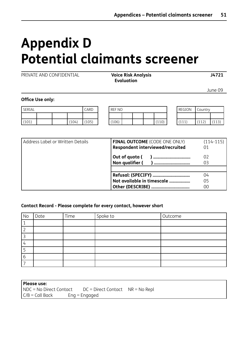# <span id="page-53-0"></span>**Appendix D Potential claimants screener**

PRIVATE AND CONFIDENTIAL **Voice Risk Analysis J4721**

 **Evaluation**

June 09

#### **Office Use only:**

| SERIAL |  |       | CARD  | <b>REF NO</b> |  |  | REGION | Country          |              |                 |
|--------|--|-------|-------|---------------|--|--|--------|------------------|--------------|-----------------|
|        |  |       |       |               |  |  |        |                  |              |                 |
| (101)  |  | (104) | (105) | (106)         |  |  | (110)  | (111)<br>. ۲ ۲ ۲ | (117)<br>ᆠᅶᄼ | (112)<br>ر ۲ ته |

| Address Label or Written Details | <b>FINAL OUTCOME</b> (CODE ONE ONLY) | $(114-115)$ |
|----------------------------------|--------------------------------------|-------------|
|                                  | Respondent interviewed/recruited     |             |
|                                  | Out of quota (<br>) ………………………………     | 02          |
|                                  | Non qualifier (                      |             |
|                                  |                                      |             |
|                                  |                                      | 04          |
|                                  | Not available in timescale           | 05          |
|                                  |                                      | 00          |

#### **Contact Record - Please complete for every contact, however short**

| No | Date | Time | Spoke to | Outcome |
|----|------|------|----------|---------|
|    |      |      |          |         |
|    |      |      |          |         |
|    |      |      |          |         |
|    |      |      |          |         |
|    |      |      |          |         |
|    |      |      |          |         |
|    |      |      |          |         |

| Please use:             |                                      |  |
|-------------------------|--------------------------------------|--|
| NDC = No Direct Contact | $DC = Direct Contact$ $NR = No Repl$ |  |
| $C/B =$ Call Back       | $Enq = Engaged$                      |  |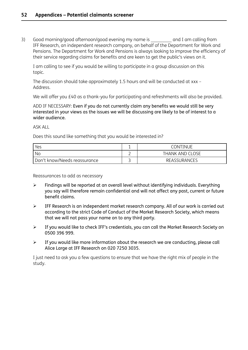3) Good morning/good afternoon/good evening my name is early and I am calling from IFF Research, an independent research company, on behalf of the Department for Work and Pensions. The Department for Work and Pensions is always looking to improve the efficiency of their service regarding claims for benefits and are keen to get the public's views on it.

I am calling to see if you would be willing to participate in a group discussion on this topic.

The discussion should take approximately 1.5 hours and will be conducted at xxx – Address.

We will offer you £40 as a thank-you for participating and refreshments will also be provided.

ADD IF NECESSARY: Even if you do not currently claim any benefits we would still be very interested in your views as the issues we will be discussing are likely to be of interest to a wider audience.

ASK ALL

Does this sound like something that you would be interested in?

| Yes                          |   | <b>CONTINUE</b>        |
|------------------------------|---|------------------------|
| Nc                           | - | <b>THANK AND CLOSE</b> |
| Don't know/Needs reassurance |   | REASSURANCES           |

Reassurances to add as necessary

- $\triangleright$  Findings will be reported at an overall level without identifying individuals. Everything you say will therefore remain confidential and will not affect any past, current or future benefit claims.
- $\triangleright$  IFF Research is an independent market research company. All of our work is carried out according to the strict Code of Conduct of the Market Research Society, which means that we will not pass your name on to any third party.
- $\triangleright$  If you would like to check IFF's credentials, you can call the Market Research Society on 0500 396 999.
- $\triangleright$  If you would like more information about the research we are conducting, please call Alice Large at IFF Research on 020 7250 3035.

I just need to ask you a few questions to ensure that we have the right mix of people in the study.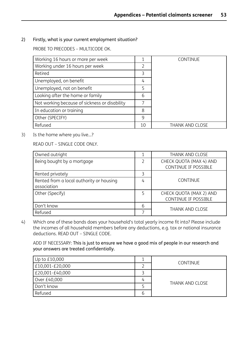2) Firstly, what is your current employment situation?

PROBE TO PRECODES – MULTICODE OK.

| Working 16 hours or more per week             | 1  | <b>CONTINUE</b>        |
|-----------------------------------------------|----|------------------------|
| Working under 16 hours per week               | 2  |                        |
| Retired                                       | 3  |                        |
| Unemployed, on benefit                        | 4  |                        |
| Unemployed, not on benefit                    | 5  |                        |
| Looking after the home or family              | 6  |                        |
| Not working because of sickness or disability |    |                        |
| In education or training                      | 8  |                        |
| Other (SPECIFY)                               | 9  |                        |
| Refused                                       | 10 | <b>THANK AND CLOSE</b> |

3) Is the home where you live…?

READ OUT – SINGLE CODE ONLY.

| Owned outright                                          |   | <b>THANK AND CLOSE</b>                          |
|---------------------------------------------------------|---|-------------------------------------------------|
| Being bought by a mortgage                              | 2 | CHECK QUOTA (MAX 4) AND<br>CONTINUE IF POSSIBLE |
| Rented privately                                        | 3 |                                                 |
| Rented from a local authority or housing<br>association | 4 | <b>CONTINUE</b>                                 |
| Other (Specify)                                         | 5 | CHECK QUOTA (MAX 2) AND<br>CONTINUE IF POSSIBLE |
| Don't know                                              |   |                                                 |
| Refused                                                 |   | <b>THANK AND CLOSE</b>                          |

4) Which one of these bands does your household's total yearly income fit into? Please include the incomes of all household members before any deductions, e.g. tax or national insurance deductions. READ OUT – SINGLE CODE.

ADD IF NECESSARY: This is just to ensure we have a good mix of people in our research and your answers are treated confidentially.

| Up to £10,000   |   | <b>CONTINUE</b>        |  |
|-----------------|---|------------------------|--|
| E10,001-£20,000 |   |                        |  |
| E20,001-£40,000 |   |                        |  |
| Over £40,000    | 4 |                        |  |
| Don't know      |   | <b>THANK AND CLOSE</b> |  |
| Refused         | о |                        |  |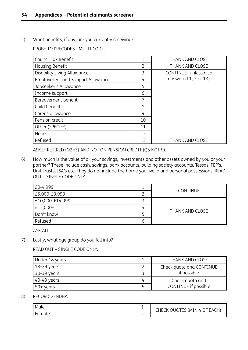5) What benefits, if any, are you currently receiving?

PROBE TO PRECODES - MULTI CODE.

| Council Tax Benefit              | 1              | <b>THANK AND CLOSE</b>   |
|----------------------------------|----------------|--------------------------|
| Housing Benefit                  | $\overline{2}$ | <b>THANK AND CLOSE</b>   |
| Disability Living Allowance      | 3              | CONTINUE (unless also    |
| Employment and Support Allowance | 4              | answered $1, 2$ or $13)$ |
| Jobseeker's Allowance            | 5              |                          |
| Income support                   | 6              |                          |
| Bereavement benefit              | 7              |                          |
| Child benefit                    | 8              |                          |
| Carer's allowance                | 9              |                          |
| Pension credit                   | 10             |                          |
| Other (SPECIFY)                  | 11             |                          |
| None                             | 12             |                          |
| Refused                          | 13             | <b>THANK AND CLOSE</b>   |

ASK IF RETIRED (Q2=3) AND NOT ON PENSION CREDIT (Q5 NOT 9).

6) How much is the value of all your savings, investments and other assets owned by you or your partner? These include cash, savings, bank accounts, building society accounts, Tessas, PEP's, Unit Trusts, ISA's etc. They do not include the home you live in and personal possessions. READ OUT – SINGLE CODE ONLY.

| E0-4,999        |   |                        |
|-----------------|---|------------------------|
| E5,000-£9,999   |   | <b>CONTINUE</b>        |
| £10,000-£14,999 |   |                        |
| $E15,000+$      | 4 | <b>THANK AND CLOSE</b> |
| Don't know      |   |                        |
| Refused         | ь |                        |

ASK ALL.

7) Lastly, what age group do you fall into?

READ OUT – SINGLE CODE ONLY.

| Under 18 years |   | THANK AND CLOSE          |
|----------------|---|--------------------------|
| 18-29 years    |   | Check quota and CONTINUE |
| 30-39 years    |   | if possible              |
| 40-49 years    | 4 | Check quota and          |
| 50+ years      |   | CONTINUE if possible     |

#### 8) RECORD GENDER.

| Male   |        | CHECK QUOTES (MIN 4 OF EACH) |
|--------|--------|------------------------------|
| Female | -<br>- |                              |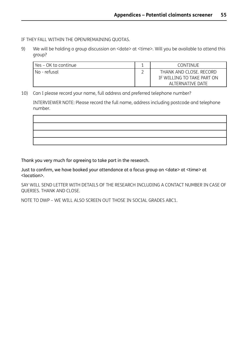IF THEY FALL WITHIN THE OPEN/REMAINING QUOTAS.

9) We will be holding a group discussion on <date> at <time>. Will you be available to attend this group?

| Yes – OK to continue | <b>.</b> | CONTINUE                                                                  |
|----------------------|----------|---------------------------------------------------------------------------|
| No - refusal         |          | THANK AND CLOSE, RECORD<br>IF WILLING TO TAKE PART ON<br>ALTERNATIVE DATE |

10) Can I please record your name, full address and preferred telephone number?

INTERVIEWER NOTE: Please record the full name, address including postcode and telephone number.



Thank you very much for agreeing to take part in the research.

Just to confirm, we have booked your attendance at a focus group on <date> at <time> at <location>.

SAY WILL SEND LETTER WITH DETAILS OF THE RESEARCH INCLUDING A CONTACT NUMBER IN CASE OF QUERIES. THANK AND CLOSE.

NOTE TO DWP – WE WILL ALSO SCREEN OUT THOSE IN SOCIAL GRADES ABC1.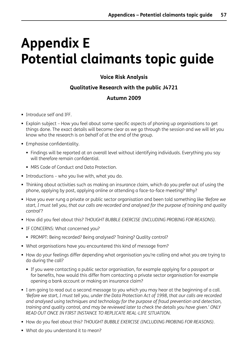## <span id="page-58-0"></span>**Appendix E Potential claimants topic guide**

### **Voice Risk Analysis**

### **Qualitative Research with the public J4721**

### **Autumn 2009**

- Introduce self and IFF.
- Explain subject How you feel about some specific aspects of phoning up organisations to get things done. The exact details will become clear as we go through the session and we will let you know who the research is on behalf of at the end of the group.
- **Emphasise confidentiality.** 
	- Findings will be reported at an overall level without identifying individuals. Everything you say will therefore remain confidential.
	- MRS Code of Conduct and Data Protection.
- **Introductions who you live with, what you do.**
- Thinking about activities such as making an insurance claim, which do you prefer out of using the phone, applying by post, applying online or attending a face-to-face meeting? Why?
- Have you ever rung a private or public sector organisation and been told something like *'Before we* start, I must tell you, that our calls are recorded and analysed for the purpose of training and quality *control'*?
- How did you feel about this? *THOUGHT BUBBLE EXERCISE (INCLUDING PROBING FOR REASONS).*
- **IF CONCERNS: What concerned you?** 
	- PROMPT: Being recorded? Being analysed? Training? Quality control?
- What organisations have you encountered this kind of message from?
- How do your feelings differ depending what organisation you're calling and what you are trying to do during the call?
	- If you were contacting a public sector organisation, for example applying for a passport or for benefits, how would this differ from contacting a private sector organisation for example opening a bank account or making an insurance claim?
- I am going to read out a second message to you which you may hear at the beginning of a call. 'Before we start, I must tell you, under the Data Protection Act of 1998, that our calls are recorded *and analysed using techniques and technology for the purpose of fraud prevention and detection, training and quality control, and may be reviewed later to check the details you have given.' ONLY READ OUT ONCE IN FIRST INSTANCE TO REPLICATE REAL-LIFE SITUATION.*
- How do you feel about this? *THOUGHT BUBBLE EXERCISE (INCLUDING PROBING FOR REASONS)*.
- **•** What do you understand it to mean?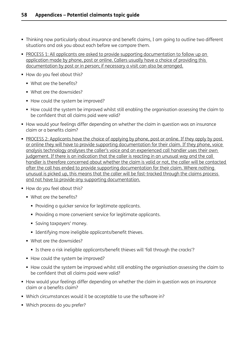- Thinking now particularly about insurance and benefit claims, I am going to outline two different situations and ask you about each before we compare them.
- PROCESS 1: All applicants are asked to provide supporting documentation to follow up an application made by phone, post or online. Callers usually have a choice of providing this documentation by post or in person; if necessary a visit can also be arranged.
- How do you feel about this?
	- What are the benefits?
	- What are the downsides?
	- How could the system be improved?
	- How could the system be improved whilst still enabling the organisation assessing the claim to be confident that all claims paid were valid?
- How would your feelings differ depending on whether the claim in question was an insurance claim or a benefits claim?
- PROCESS 2: Applicants have the choice of applying by phone, post or online. If they apply by post or online they will have to provide supporting documentation for their claim. If they phone, voice analysis technology analyses the caller's voice and an experienced call handler uses their own judgement. If there is an indication that the caller is reacting in an unusual way and the call handler is therefore concerned about whether the claim is valid or not, the caller will be contacted after the call has ended to provide supporting documentation for their claim. Where nothing unusual is picked up, this means that the caller will be fast-tracked through the claims process and not have to provide any supporting documentation.
- How do you feel about this?
	- What are the benefits?
		- **Providing a quicker service for legitimate applicants.**
		- **Providing a more convenient service for legitimate applicants.**
		- **Saving taxpayers' money.**
		- **Identifying more ineligible applicants/benefit thieves.**
	- What are the downsides?
		- Is there a risk ineligible applicants/benefit thieves will 'fall through the cracks'?
	- How could the system be improved?
	- How could the system be improved whilst still enabling the organisation assessing the claim to be confident that all claims paid were valid?
- How would your feelings differ depending on whether the claim in question was an insurance claim or a benefits claim?
- Which circumstances would it be acceptable to use the software in?
- **Which process do you prefer?**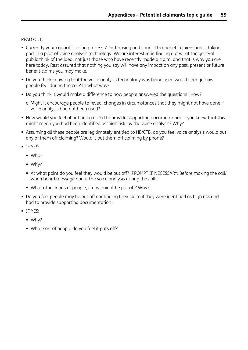READ OUT.

- Currently your council is using process 2 for housing and council tax benefit claims and is taking part in a pilot of voice analysis technology. We are interested in finding out what the general public think of the idea, not just those who have recently made a claim, and that is why you are here today. Rest assured that nothing you say will have any impact on any past, present or future benefit claims you may make.
- Do you think knowing that the voice analysis technology was being used would change how people feel during the call? In what way?
- Do you think it would make a difference to how people answered the questions? How?
	- o Might it encourage people to reveal changes in circumstances that they might not have done if voice analysis had not been used?
- How would you feel about being asked to provide supporting documentation if you knew that this might mean you had been identified as 'high risk' by the voice analysis? Why?
- Assuming all these people are legitimately entitled to HB/CTB, do you feel voice analysis would put any of them off claiming? Would it put them off claiming by phone?
- **IF YES:** 
	- Who?
	- $W$ hy?
	- At what point do you feel they would be put off? (PROMPT IF NECESSARY: Before making the call/ when heard message about the voice analysis during the call).
	- What other kinds of people, if any, might be put off? Why?
- Do you feel people may be put off continuing their claim if they were identified as high risk and had to provide supporting documentation?
- IF YES:
	- Why?
	- What sort of people do you feel it puts off?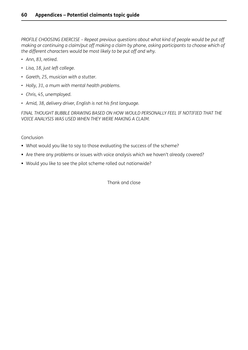*PROFILE CHOOSING EXERCISE – Repeat previous questions about what kind of people would be put off making or continuing a claim/put off making a claim by phone, asking participants to choose which of the different characters would be most likely to be put off and why.*

- *• Ann, 83, retired.*
- *• Lisa, 18, just left college.*
- *• Gareth, 25, musician with a stutter.*
- *• Holly, 31, a mum with mental health problems.*
- *• Chris, 45, unemployed.*
- *• Amid, 38, delivery driver, English is not his first language.*

*FINAL THOUGHT BUBBLE DRAWING BASED ON HOW WOULD PERSONALLY FEEL IF NOTIFIED THAT THE VOICE ANALYSIS WAS USED WHEN THEY WERE MAKING A CLAIM.*

#### Conclusion

- What would you like to say to those evaluating the success of the scheme?
- Are there any problems or issues with voice analysis which we haven't already covered?
- Would you like to see the pilot scheme rolled out nationwide?

Thank and close